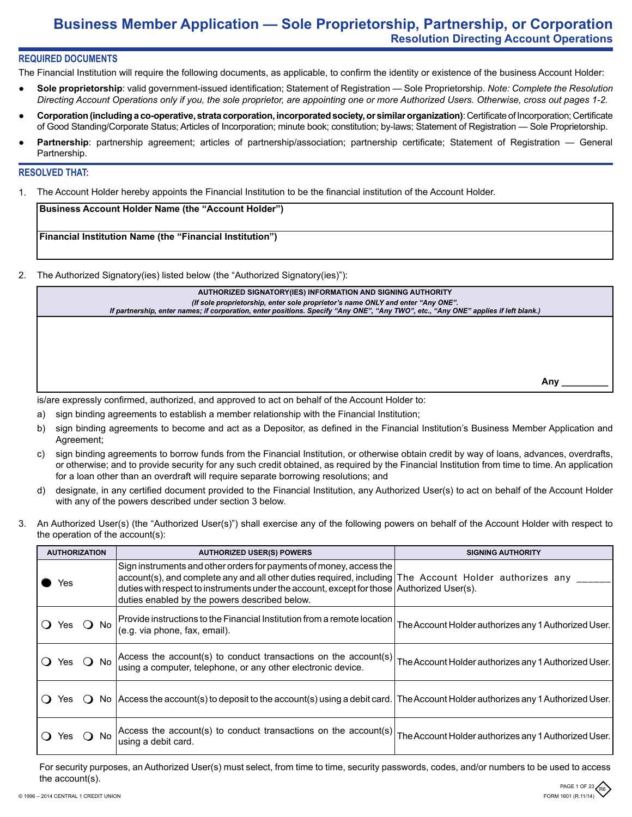# **Business Member Application — Sole Proprietorship, Partnership, or Corporation Resolution Directing Account Operations**

# **REQUIRED DOCUMENTS**

The Financial Institution will require the following documents, as applicable, to confirm the identity or existence of the business Account Holder:

- **Sole proprietorship**: valid government-issued identification; Statement of Registration Sole Proprietorship. *Note: Complete the Resolution Directing Account Operations only if you, the sole proprietor, are appointing one or more Authorized Users. Otherwise, cross out pages 1-2.*
- **Corporation (including a co-operative, strata corporation, incorporated society, or similar organization)**: Certificate of Incorporation; Certificate of Good Standing/Corporate Status; Articles of Incorporation; minute book; constitution; by-laws; Statement of Registration — Sole Proprietorship.
- Partnership: partnership agreement; articles of partnership/association; partnership certificate; Statement of Registration General Partnership.

### **RESOLVED THAT:**

1. The Account Holder hereby appoints the Financial Institution to be the financial institution of the Account Holder.

| Business Account Holder Name (the "Account Holder")             |  |
|-----------------------------------------------------------------|--|
| <b>Financial Institution Name (the "Financial Institution")</b> |  |

2. The Authorized Signatory(ies) listed below (the "Authorized Signatory(ies)"):

| AUTHORIZED SIGNATORY(IES) INFORMATION AND SIGNING AUTHORITY                                                                         |  |
|-------------------------------------------------------------------------------------------------------------------------------------|--|
| (If sole proprietorship, enter sole proprietor's name ONLY and enter "Any ONE".                                                     |  |
| If partnership, enter names; if corporation, enter positions. Specify "Any ONE", "Any TWO", etc., "Any ONE" applies if left blank.) |  |
|                                                                                                                                     |  |

**Any \_\_\_\_\_\_\_\_\_**

is/are expressly confirmed, authorized, and approved to act on behalf of the Account Holder to:

- a) sign binding agreements to establish a member relationship with the Financial Institution;
- b) sign binding agreements to become and act as a Depositor, as defined in the Financial Institution's Business Member Application and Agreement;
- c) sign binding agreements to borrow funds from the Financial Institution, or otherwise obtain credit by way of loans, advances, overdrafts, or otherwise; and to provide security for any such credit obtained, as required by the Financial Institution from time to time. An application for a loan other than an overdraft will require separate borrowing resolutions; and
- d) designate, in any certified document provided to the Financial Institution, any Authorized User(s) to act on behalf of the Account Holder with any of the powers described under section 3 below.
- 3. An Authorized User(s) (the "Authorized User(s)") shall exercise any of the following powers on behalf of the Account Holder with respect to the operation of the account(s):

|            | <b>AUTHORIZATION</b> |       | <b>AUTHORIZED USER(S) POWERS</b>                                                                                                                                                                                                                                                                                              | <b>SIGNING AUTHORITY</b>                             |
|------------|----------------------|-------|-------------------------------------------------------------------------------------------------------------------------------------------------------------------------------------------------------------------------------------------------------------------------------------------------------------------------------|------------------------------------------------------|
|            | Yes                  |       | Sign instruments and other orders for payments of money, access the<br>account(s), and complete any and all other duties required, including The Account Holder authorizes any<br>duties with respect to instruments under the account, except for those Authorized User(s).<br>duties enabled by the powers described below. |                                                      |
|            | Yes                  | () No | Provide instructions to the Financial Institution from a remote location<br>(e.g. via phone, fax, email).                                                                                                                                                                                                                     | The Account Holder authorizes any 1 Authorized User. |
| O Yes O No |                      |       | Access the account(s) to conduct transactions on the account(s)<br>using a computer, telephone, or any other electronic device.                                                                                                                                                                                               | The Account Holder authorizes any 1 Authorized User. |
| $\Omega$   | Yes                  |       | No   Access the account(s) to deposit to the account(s) using a debit card. The Account Holder authorizes any 1 Authorized User.                                                                                                                                                                                              |                                                      |
|            | Yes                  | No.   | Access the account(s) to conduct transactions on the account(s)<br>using a debit card.                                                                                                                                                                                                                                        | The Account Holder authorizes any 1 Authorized User. |

For security purposes, an Authorized User(s) must select, from time to time, security passwords, codes, and/or numbers to be used to access the account(s).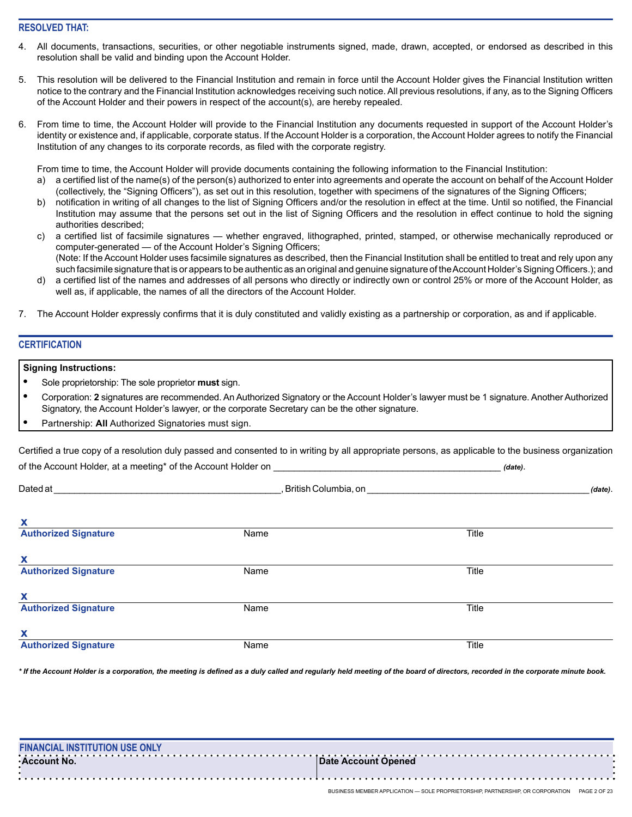# **RESOLVED THAT:**

- All documents, transactions, securities, or other negotiable instruments signed, made, drawn, accepted, or endorsed as described in this resolution shall be valid and binding upon the Account Holder.
- 5. This resolution will be delivered to the Financial Institution and remain in force until the Account Holder gives the Financial Institution written notice to the contrary and the Financial Institution acknowledges receiving such notice. All previous resolutions, if any, as to the Signing Officers of the Account Holder and their powers in respect of the account(s), are hereby repealed.
- 6. From time to time, the Account Holder will provide to the Financial Institution any documents requested in support of the Account Holder's identity or existence and, if applicable, corporate status. If the Account Holder is a corporation, the Account Holder agrees to notify the Financial Institution of any changes to its corporate records, as filed with the corporate registry.

From time to time, the Account Holder will provide documents containing the following information to the Financial Institution:

- a) a certified list of the name(s) of the person(s) authorized to enter into agreements and operate the account on behalf of the Account Holder (collectively, the "Signing Officers"), as set out in this resolution, together with specimens of the signatures of the Signing Officers;
- b) notification in writing of all changes to the list of Signing Officers and/or the resolution in effect at the time. Until so notified, the Financial Institution may assume that the persons set out in the list of Signing Officers and the resolution in effect continue to hold the signing authorities described;
- c) a certified list of facsimile signatures whether engraved, lithographed, printed, stamped, or otherwise mechanically reproduced or computer-generated — of the Account Holder's Signing Officers; (Note: If the Account Holder uses facsimile signatures as described, then the Financial Institution shall be entitled to treat and rely upon any such facsimile signature that is or appears to be authentic as an original and genuine signature of the Account Holder's Signing Officers.); and
- d) a certified list of the names and addresses of all persons who directly or indirectly own or control 25% or more of the Account Holder, as well as, if applicable, the names of all the directors of the Account Holder.
- 7. The Account Holder expressly confirms that it is duly constituted and validly existing as a partnership or corporation, as and if applicable.

### **CERTIFICATION**

#### **Signing Instructions:**

- **•** Sole proprietorship: The sole proprietor **must** sign.
- **•** Corporation: **2** signatures are recommended. An Authorized Signatory or the Account Holder's lawyer must be 1 signature. Another Authorized Signatory, the Account Holder's lawyer, or the corporate Secretary can be the other signature.
- **•** Partnership: **All** Authorized Signatories must sign.

Certified a true copy of a resolution duly passed and consented to in writing by all appropriate persons, as applicable to the business organization of the Account Holder, at a meeting\* of the Account Holder on \_\_\_\_\_\_\_\_\_\_\_\_\_\_\_\_\_\_\_\_\_\_\_\_\_\_\_\_\_\_\_\_\_\_\_\_\_\_\_\_\_\_\_\_ *(date)*.

| Dated at                    | , British Columbia, on |       | (date). |
|-----------------------------|------------------------|-------|---------|
| X                           |                        |       |         |
| <b>Authorized Signature</b> | Name                   | Title |         |
| X                           |                        |       |         |
| <b>Authorized Signature</b> | Name                   | Title |         |
| X                           |                        |       |         |
| <b>Authorized Signature</b> | Name                   | Title |         |
| X                           |                        |       |         |
| <b>Authorized Signature</b> | Name                   | Title |         |

*\* If the Account Holder is a corporation, the meeting is defined as a duly called and regularly held meeting of the board of directors, recorded in the corporate minute book.*

| ∙Account No.<br><b>Date Account Opened</b> | <b>FINANCIAL INSTITUTION USE ONLY</b> |  |
|--------------------------------------------|---------------------------------------|--|
|                                            |                                       |  |
|                                            |                                       |  |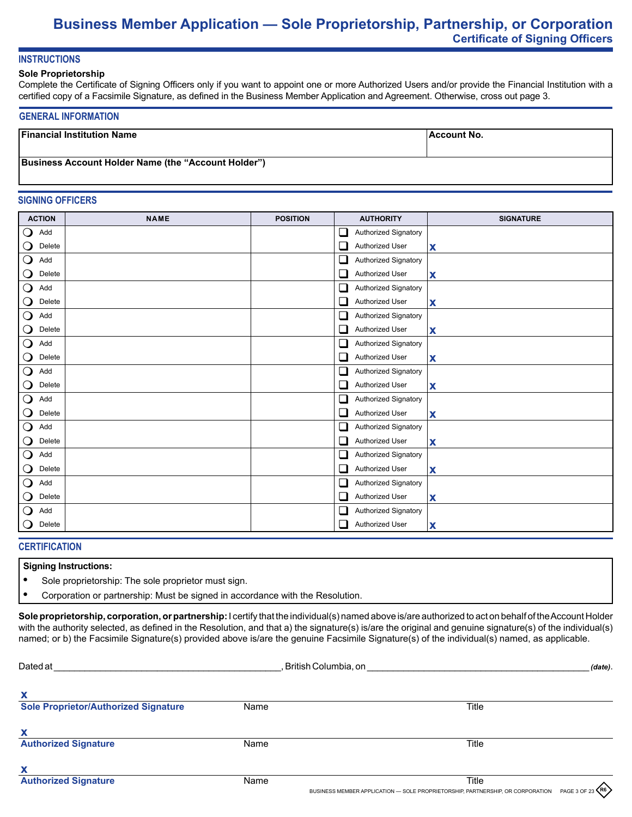# **Business Member Application — Sole Proprietorship, Partnership, or Corporation Certificate of Signing Officers**

# **INSTRUCTIONS**

#### **Sole Proprietorship**

Complete the Certificate of Signing Officers only if you want to appoint one or more Authorized Users and/or provide the Financial Institution with a certified copy of a Facsimile Signature, as defined in the Business Member Application and Agreement. Otherwise, cross out page 3.

### **GENERAL INFORMATION**

| <b>Financial Institution Name</b>                          | ⊺Account No. |
|------------------------------------------------------------|--------------|
|                                                            |              |
| <b>Business Account Holder Name (the "Account Holder")</b> |              |

### **SIGNING OFFICERS**

| <b>ACTION</b>                   | <b>NAME</b> | <b>POSITION</b> | <b>SIGNATURE</b><br><b>AUTHORITY</b>  |
|---------------------------------|-------------|-----------------|---------------------------------------|
| $\mathbf O$<br>Add              |             |                 | □<br>Authorized Signatory             |
| Delete<br>Ő                     |             |                 | Authorized User<br>X<br>⊔             |
| $\mathbf O$<br>Add              |             |                 | ❏<br>Authorized Signatory             |
| $\mathbf{\mathsf{O}}$<br>Delete |             |                 | $\Box$<br>Authorized User<br>X        |
| $\bigcirc$<br>Add               |             |                 | ⊔<br>Authorized Signatory             |
| $\mathbf{\mathsf{O}}$<br>Delete |             |                 | Authorized User<br>$\Box$<br>X        |
| $\bigcirc$<br>Add               |             |                 | Authorized Signatory<br>⊔             |
| Delete<br>O                     |             |                 | Authorized User<br>⊔<br>X             |
| $\bigcirc$<br>Add               |             |                 | ⊔<br>Authorized Signatory             |
| O<br>Delete                     |             |                 | Authorized User<br>⊔<br>X             |
| $\bigcirc$<br>Add               |             |                 | ❏<br>Authorized Signatory             |
| $\mathsf{O}$<br>Delete          |             |                 | Authorized User<br>$\Box$<br>X        |
| $\bigcirc$<br>Add               |             |                 | $\Box$<br>Authorized Signatory        |
| $\mathbf{\mathsf{O}}$<br>Delete |             |                 | $\Box$<br>Authorized User<br>X        |
| $\bigcirc$<br>Add               |             |                 | ❏<br>Authorized Signatory             |
| Delete<br>$\mathsf{O}$          |             |                 | Authorized User<br>X<br>⊔             |
| $\overline{O}$<br>Add           |             |                 | ❏<br>Authorized Signatory             |
| O<br>Delete                     |             |                 | Authorized User<br>ப<br>X             |
| $\bigcirc$<br>Add               |             |                 | ❏<br>Authorized Signatory             |
| Delete<br>$\mathsf{O}$          |             |                 | Authorized User<br>⊔<br>X             |
| $\mathbf{\mathsf{O}}$<br>Add    |             |                 | Authorized Signatory<br>⊔             |
| Delete<br>Ő                     |             |                 | $\mathcal{L}$<br>Authorized User<br>X |

# **CERTIFICATION**

#### **Signing Instructions:**

- **•** Sole proprietorship: The sole proprietor must sign.
- **•** Corporation or partnership: Must be signed in accordance with the Resolution.

**Sole proprietorship, corporation, or partnership:** I certify that the individual(s) named above is/are authorized to act on behalf of the Account Holder with the authority selected, as defined in the Resolution, and that a) the signature(s) is/are the original and genuine signature(s) of the individual(s) named; or b) the Facsimile Signature(s) provided above is/are the genuine Facsimile Signature(s) of the individual(s) named, as applicable.

| Dated at                                    | , British Columbia, on |       | (date). |
|---------------------------------------------|------------------------|-------|---------|
| $\boldsymbol{\mathsf{x}}$                   |                        |       |         |
| <b>Sole Proprietor/Authorized Signature</b> | Name                   | Title |         |
| $\boldsymbol{\mathsf{x}}$                   |                        |       |         |
| <b>Authorized Signature</b>                 | Name                   | Title |         |
| $\boldsymbol{\mathsf{x}}$                   |                        |       |         |
| <b>Authorized Signature</b>                 | Name                   | Title | ᄉ       |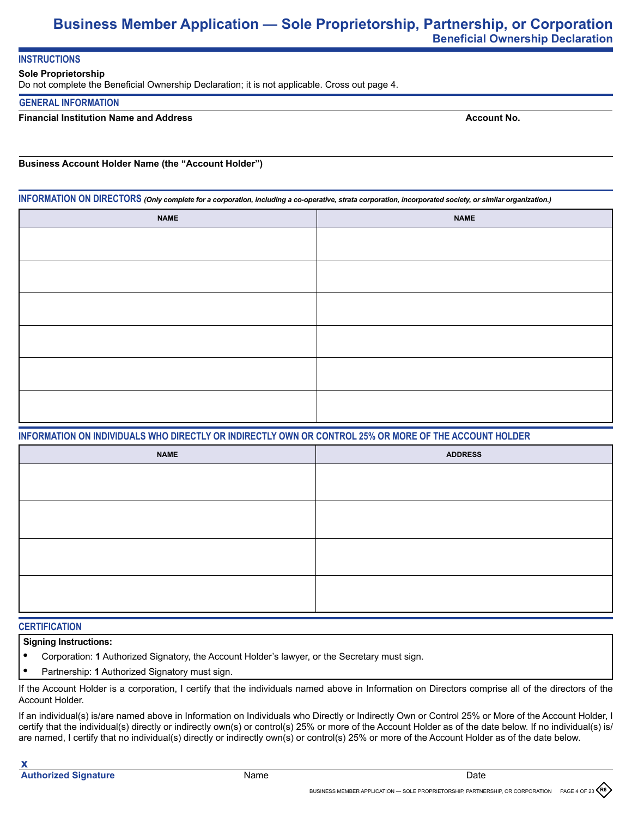# **Business Member Application — Sole Proprietorship, Partnership, or Corporation Beneficial Ownership Declaration**

# **INSTRUCTIONS**

### **Sole Proprietorship**

Do not complete the Beneficial Ownership Declaration; it is not applicable. Cross out page 4.

### **GENERAL INFORMATION**

# **Financial Institution Name and Address**

**Account No.**

### **Business Account Holder Name (the "Account Holder")**

**INFORMATION ON DIRECTORS** *(Only complete for a corporation, including a co-operative, strata corporation, incorporated society, or similar organization.)*

| <b>NAME</b> | <b>NAME</b> |
|-------------|-------------|
|             |             |
|             |             |
|             |             |
|             |             |
|             |             |
|             |             |
|             |             |
|             |             |
|             |             |
|             |             |
|             |             |
|             |             |

# **INFORMATION ON INDIVIDUALS WHO DIRECTLY OR INDIRECTLY OWN OR CONTROL 25% OR MORE OF THE ACCOUNT HOLDER**

| <b>NAME</b> | <b>ADDRESS</b> |
|-------------|----------------|
|             |                |
|             |                |
|             |                |
|             |                |
|             |                |
|             |                |
|             |                |
|             |                |

## **CERTIFICATION**

# **Signing Instructions:**

- **•** Corporation: **1** Authorized Signatory, the Account Holder's lawyer, or the Secretary must sign.
- **•** Partnership: **1** Authorized Signatory must sign.

If the Account Holder is a corporation, I certify that the individuals named above in Information on Directors comprise all of the directors of the Account Holder.

If an individual(s) is/are named above in Information on Individuals who Directly or Indirectly Own or Control 25% or More of the Account Holder, I certify that the individual(s) directly or indirectly own(s) or control(s) 25% or more of the Account Holder as of the date below. If no individual(s) is/ are named, I certify that no individual(s) directly or indirectly own(s) or control(s) 25% or more of the Account Holder as of the date below.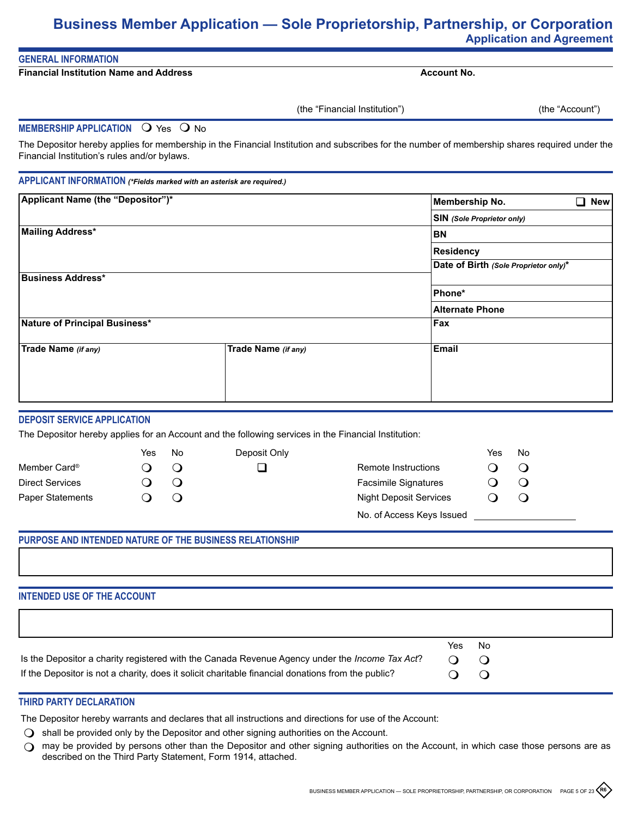# **Business Member Application — Sole Proprietorship, Partnership, or Corporation Application and Agreement**

# **GENERAL INFORMATION**

**Financial Institution Name and Address**

**Account No.**

(the "Financial Institution")

(the "Account")

### **MEMBERSHIP APPLICATION O Yes O No**

The Depositor hereby applies for membership in the Financial Institution and subscribes for the number of membership shares required under the Financial Institution's rules and/or bylaws.

### **APPLICANT INFORMATION** *(\*Fields marked with an asterisk are required.)*

| Applicant Name (the "Depositor")* |                     | <b>Membership No.</b><br><b>New</b>   |
|-----------------------------------|---------------------|---------------------------------------|
|                                   |                     | <b>SIN</b> (Sole Proprietor only)     |
| Mailing Address*                  |                     | <b>BN</b>                             |
|                                   |                     | Residency                             |
|                                   |                     | Date of Birth (Sole Proprietor only)* |
| <b>Business Address*</b>          |                     |                                       |
|                                   |                     | Phone*                                |
|                                   |                     | <b>Alternate Phone</b>                |
| Nature of Principal Business*     |                     | Fax                                   |
|                                   |                     |                                       |
| Trade Name (if any)               | Trade Name (if any) | Email                                 |
|                                   |                     |                                       |
|                                   |                     |                                       |
|                                   |                     |                                       |

# **DEPOSIT SERVICE APPLICATION**

The Depositor hereby applies for an Account and the following services in the Financial Institution:

|                          | Yes | No     | Deposit Only |                               | Yes | No |
|--------------------------|-----|--------|--------------|-------------------------------|-----|----|
| Member Card <sup>®</sup> |     | $\cup$ |              | Remote Instructions           |     |    |
| <b>Direct Services</b>   |     | Ő      |              | <b>Facsimile Signatures</b>   |     | J  |
| Paper Statements         |     | Ő      |              | <b>Night Deposit Services</b> |     | ◡  |
|                          |     |        |              | No. of Access Keys Issued     |     |    |

# **PURPOSE AND INTENDED NATURE OF THE BUSINESS RELATIONSHIP**

# **INTENDED USE OF THE ACCOUNT**

|                                                                                                    | Yes               | . No |
|----------------------------------------------------------------------------------------------------|-------------------|------|
| Is the Depositor a charity registered with the Canada Revenue Agency under the Income Tax Act?     | $\Omega$ $\Omega$ |      |
| If the Depositor is not a charity, does it solicit charitable financial donations from the public? | $\Omega$ $\Omega$ |      |

# **THIRD PARTY DECLARATION**

The Depositor hereby warrants and declares that all instructions and directions for use of the Account:

- $\bigcirc$  shall be provided only by the Depositor and other signing authorities on the Account.
- $\bigcirc$  may be provided by persons other than the Depositor and other signing authorities on the Account, in which case those persons are as described on the Third Party Statement, Form 1914, attached.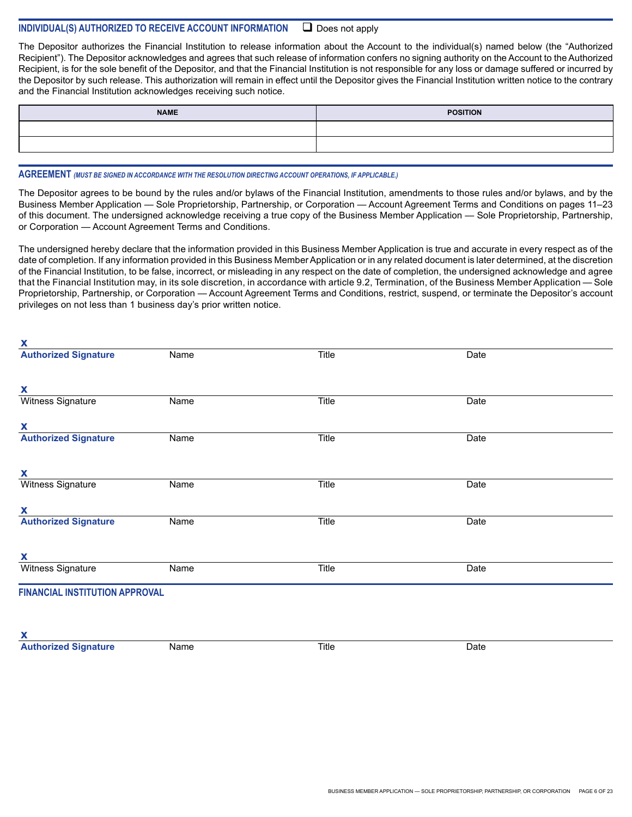# **INDIVIDUAL(S) AUTHORIZED TO RECEIVE ACCOUNT INFORMATION**  Does not apply

The Depositor authorizes the Financial Institution to release information about the Account to the individual(s) named below (the "Authorized Recipient"). The Depositor acknowledges and agrees that such release of information confers no signing authority on the Account to the Authorized Recipient, is for the sole benefit of the Depositor, and that the Financial Institution is not responsible for any loss or damage suffered or incurred by the Depositor by such release. This authorization will remain in effect until the Depositor gives the Financial Institution written notice to the contrary and the Financial Institution acknowledges receiving such notice.

| <b>NAME</b> | <b>POSITION</b> |
|-------------|-----------------|
|             |                 |
|             |                 |

#### **AGREEMENT** *(MUST BE SIGNED IN ACCORDANCE WITH THE RESOLUTION DIRECTING ACCOUNT OPERATIONS, IF APPLICABLE.)*

**x**

The Depositor agrees to be bound by the rules and/or bylaws of the Financial Institution, amendments to those rules and/or bylaws, and by the Business Member Application — Sole Proprietorship, Partnership, or Corporation — Account Agreement Terms and Conditions on pages 11–23 of this document. The undersigned acknowledge receiving a true copy of the Business Member Application — Sole Proprietorship, Partnership, or Corporation — Account Agreement Terms and Conditions.

The undersigned hereby declare that the information provided in this Business Member Application is true and accurate in every respect as of the date of completion. If any information provided in this Business Member Application or in any related document is later determined, at the discretion of the Financial Institution, to be false, incorrect, or misleading in any respect on the date of completion, the undersigned acknowledge and agree that the Financial Institution may, in its sole discretion, in accordance with article 9.2, Termination, of the Business Member Application — Sole Proprietorship, Partnership, or Corporation — Account Agreement Terms and Conditions, restrict, suspend, or terminate the Depositor's account privileges on not less than 1 business day's prior written notice.

| <b>Authorized Signature</b>           | Name | Title        | Date |  |
|---------------------------------------|------|--------------|------|--|
|                                       |      |              |      |  |
| X                                     |      |              |      |  |
| <b>Witness Signature</b>              | Name | Title        | Date |  |
| $\mathbf{x}$                          |      |              |      |  |
| <b>Authorized Signature</b>           | Name | <b>Title</b> | Date |  |
|                                       |      |              |      |  |
| X                                     |      |              |      |  |
| <b>Witness Signature</b>              | Name | <b>Title</b> | Date |  |
| X                                     |      |              |      |  |
| <b>Authorized Signature</b>           | Name | <b>Title</b> | Date |  |
|                                       |      |              |      |  |
| X                                     |      |              |      |  |
| <b>Witness Signature</b>              | Name | Title        | Date |  |
| <b>FINANCIAL INSTITUTION APPROVAL</b> |      |              |      |  |
|                                       |      |              |      |  |
| X                                     |      |              |      |  |
| <b>Authorized Signature</b>           | Name | Title        | Date |  |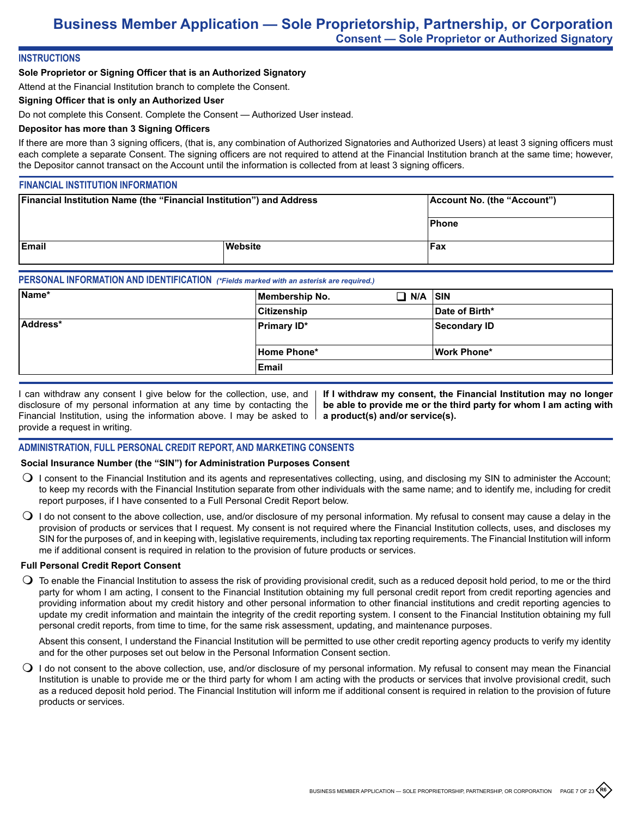# **INSTRUCTIONS**

### **Sole Proprietor or Signing Officer that is an Authorized Signatory**

Attend at the Financial Institution branch to complete the Consent.

# **Signing Officer that is only an Authorized User**

Do not complete this Consent. Complete the Consent — Authorized User instead.

# **Depositor has more than 3 Signing Officers**

If there are more than 3 signing officers, (that is, any combination of Authorized Signatories and Authorized Users) at least 3 signing officers must each complete a separate Consent. The signing officers are not required to attend at the Financial Institution branch at the same time; however, the Depositor cannot transact on the Account until the information is collected from at least 3 signing officers.

### **FINANCIAL INSTITUTION INFORMATION**

| <b>Financial Institution Name (the "Financial Institution") and Address</b> |         | Account No. (the "Account") |
|-----------------------------------------------------------------------------|---------|-----------------------------|
|                                                                             |         | Phone                       |
| <b>IEmail</b>                                                               | Website | ⊦Fax                        |

### **PERSONAL INFORMATION AND IDENTIFICATION** *(\*Fields marked with an asterisk are required.)*

|                    | $\Box$ N/A $\vert$ sin |
|--------------------|------------------------|
| Citizenship        | Date of Birth*         |
| <b>Primary ID*</b> | Secondary ID           |
| Home Phone*        | Work Phone*            |
| Email              |                        |
|                    |                        |

I can withdraw any consent I give below for the collection, use, and disclosure of my personal information at any time by contacting the Financial Institution, using the information above. I may be asked to provide a request in writing.

**If I withdraw my consent, the Financial Institution may no longer be able to provide me or the third party for whom I am acting with a product(s) and/or service(s).**

### **ADMINISTRATION, FULL PERSONAL CREDIT REPORT, AND MARKETING CONSENTS**

#### **Social Insurance Number (the "SIN") for Administration Purposes Consent**

- $\bigcirc$  I consent to the Financial Institution and its agents and representatives collecting, using, and disclosing my SIN to administer the Account; to keep my records with the Financial Institution separate from other individuals with the same name; and to identify me, including for credit report purposes, if I have consented to a Full Personal Credit Report below.
- $\bigcirc$  I do not consent to the above collection, use, and/or disclosure of my personal information. My refusal to consent may cause a delay in the provision of products or services that I request. My consent is not required where the Financial Institution collects, uses, and discloses my SIN for the purposes of, and in keeping with, legislative requirements, including tax reporting requirements. The Financial Institution will inform me if additional consent is required in relation to the provision of future products or services.

#### **Full Personal Credit Report Consent**

 $\bigcirc$  To enable the Financial Institution to assess the risk of providing provisional credit, such as a reduced deposit hold period, to me or the third party for whom I am acting, I consent to the Financial Institution obtaining my full personal credit report from credit reporting agencies and providing information about my credit history and other personal information to other financial institutions and credit reporting agencies to update my credit information and maintain the integrity of the credit reporting system. I consent to the Financial Institution obtaining my full personal credit reports, from time to time, for the same risk assessment, updating, and maintenance purposes.

Absent this consent, I understand the Financial Institution will be permitted to use other credit reporting agency products to verify my identity and for the other purposes set out below in the Personal Information Consent section.

 $\bigcirc$  I do not consent to the above collection, use, and/or disclosure of my personal information. My refusal to consent may mean the Financial Institution is unable to provide me or the third party for whom I am acting with the products or services that involve provisional credit, such as a reduced deposit hold period. The Financial Institution will inform me if additional consent is required in relation to the provision of future products or services.

**R6**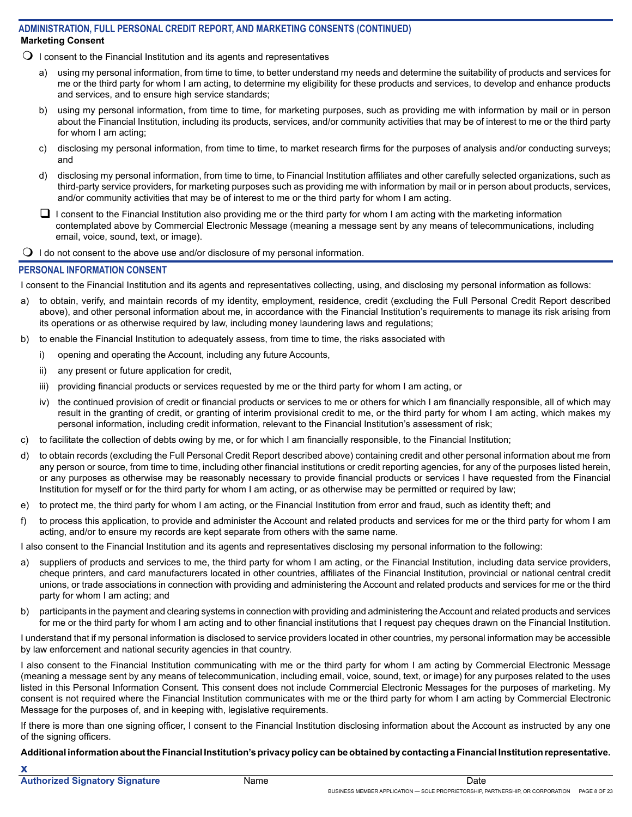# **Marketing Consent ADMINISTRATION, FULL PERSONAL CREDIT REPORT, AND MARKETING CONSENTS (CONTINUED)**

- $\Omega$  I consent to the Financial Institution and its agents and representatives
	- using my personal information, from time to time, to better understand my needs and determine the suitability of products and services for me or the third party for whom I am acting, to determine my eligibility for these products and services, to develop and enhance products and services, and to ensure high service standards;
	- b) using my personal information, from time to time, for marketing purposes, such as providing me with information by mail or in person about the Financial Institution, including its products, services, and/or community activities that may be of interest to me or the third party for whom I am acting;
	- c) disclosing my personal information, from time to time, to market research firms for the purposes of analysis and/or conducting surveys; and
	- d) disclosing my personal information, from time to time, to Financial Institution affiliates and other carefully selected organizations, such as third-party service providers, for marketing purposes such as providing me with information by mail or in person about products, services, and/or community activities that may be of interest to me or the third party for whom I am acting.
	- $\Box$  I consent to the Financial Institution also providing me or the third party for whom I am acting with the marketing information contemplated above by Commercial Electronic Message (meaning a message sent by any means of telecommunications, including email, voice, sound, text, or image).
- $\bigcirc$  I do not consent to the above use and/or disclosure of my personal information.

# **PERSONAL INFORMATION CONSENT**

I consent to the Financial Institution and its agents and representatives collecting, using, and disclosing my personal information as follows:

- a) to obtain, verify, and maintain records of my identity, employment, residence, credit (excluding the Full Personal Credit Report described above), and other personal information about me, in accordance with the Financial Institution's requirements to manage its risk arising from its operations or as otherwise required by law, including money laundering laws and regulations;
- b) to enable the Financial Institution to adequately assess, from time to time, the risks associated with
	- i) opening and operating the Account, including any future Accounts,
	- ii) any present or future application for credit,
	- iii) providing financial products or services requested by me or the third party for whom I am acting, or
	- iv) the continued provision of credit or financial products or services to me or others for which I am financially responsible, all of which may result in the granting of credit, or granting of interim provisional credit to me, or the third party for whom I am acting, which makes my personal information, including credit information, relevant to the Financial Institution's assessment of risk;
- c) to facilitate the collection of debts owing by me, or for which I am financially responsible, to the Financial Institution;
- d) to obtain records (excluding the Full Personal Credit Report described above) containing credit and other personal information about me from any person or source, from time to time, including other financial institutions or credit reporting agencies, for any of the purposes listed herein, or any purposes as otherwise may be reasonably necessary to provide financial products or services I have requested from the Financial Institution for myself or for the third party for whom I am acting, or as otherwise may be permitted or required by law;
- e) to protect me, the third party for whom I am acting, or the Financial Institution from error and fraud, such as identity theft; and
- f) to process this application, to provide and administer the Account and related products and services for me or the third party for whom I am acting, and/or to ensure my records are kept separate from others with the same name.

I also consent to the Financial Institution and its agents and representatives disclosing my personal information to the following:

- a) suppliers of products and services to me, the third party for whom I am acting, or the Financial Institution, including data service providers, cheque printers, and card manufacturers located in other countries, affiliates of the Financial Institution, provincial or national central credit unions, or trade associations in connection with providing and administering the Account and related products and services for me or the third party for whom I am acting; and
- b) participants in the payment and clearing systems in connection with providing and administering the Account and related products and services for me or the third party for whom I am acting and to other financial institutions that I request pay cheques drawn on the Financial Institution.

I understand that if my personal information is disclosed to service providers located in other countries, my personal information may be accessible by law enforcement and national security agencies in that country.

I also consent to the Financial Institution communicating with me or the third party for whom I am acting by Commercial Electronic Message (meaning a message sent by any means of telecommunication, including email, voice, sound, text, or image) for any purposes related to the uses listed in this Personal Information Consent. This consent does not include Commercial Electronic Messages for the purposes of marketing. My consent is not required where the Financial Institution communicates with me or the third party for whom I am acting by Commercial Electronic Message for the purposes of, and in keeping with, legislative requirements.

If there is more than one signing officer, I consent to the Financial Institution disclosing information about the Account as instructed by any one of the signing officers.

**Additional information about the Financial Institution's privacy policy can be obtained by contacting a Financial Institution representative.**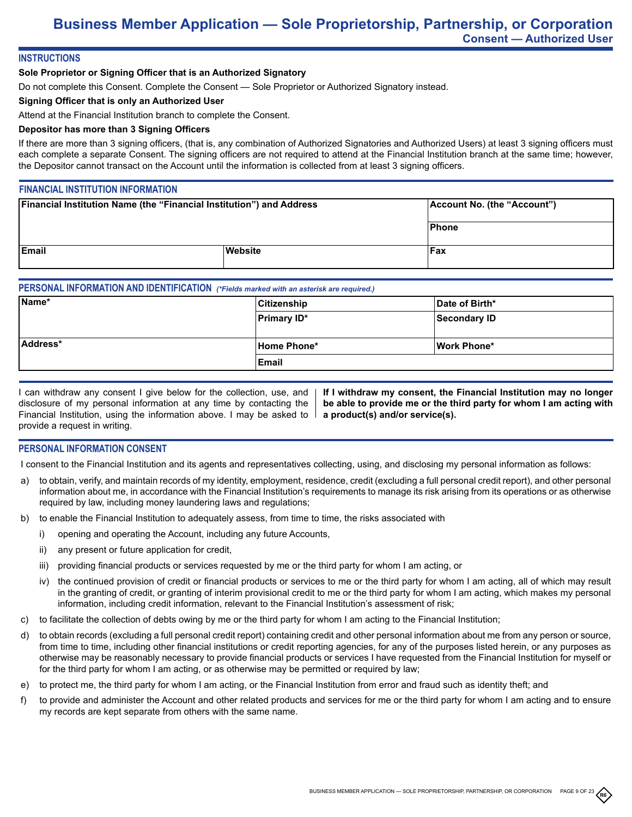# **INSTRUCTIONS**

# **Sole Proprietor or Signing Officer that is an Authorized Signatory**

Do not complete this Consent. Complete the Consent — Sole Proprietor or Authorized Signatory instead.

### **Signing Officer that is only an Authorized User**

Attend at the Financial Institution branch to complete the Consent.

# **Depositor has more than 3 Signing Officers**

If there are more than 3 signing officers, (that is, any combination of Authorized Signatories and Authorized Users) at least 3 signing officers must each complete a separate Consent. The signing officers are not required to attend at the Financial Institution branch at the same time; however, the Depositor cannot transact on the Account until the information is collected from at least 3 signing officers.

# **FINANCIAL INSTITUTION INFORMATION**

| Financial Institution Name (the "Financial Institution") and Address |         | Account No. (the "Account") |
|----------------------------------------------------------------------|---------|-----------------------------|
|                                                                      |         | Phone                       |
| Email                                                                | Website | Fax                         |

# **PERSONAL INFORMATION AND IDENTIFICATION** *(\*Fields marked with an asterisk are required.)*

| Name*    | Citizenship        | Date of Birth* |
|----------|--------------------|----------------|
|          | <b>Primary ID*</b> | Secondary ID   |
|          |                    |                |
| Address* | Home Phone*        | Work Phone*    |
|          | ∣Email             |                |

| I can withdraw any consent I give below for the collection, use, and  |
|-----------------------------------------------------------------------|
| disclosure of my personal information at any time by contacting the   |
| Financial Institution, using the information above. I may be asked to |
| provide a request in writing.                                         |

**If I withdraw my consent, the Financial Institution may no longer be able to provide me or the third party for whom I am acting with a product(s) and/or service(s).**

### **PERSONAL INFORMATION CONSENT**

I consent to the Financial Institution and its agents and representatives collecting, using, and disclosing my personal information as follows:

- a) to obtain, verify, and maintain records of my identity, employment, residence, credit (excluding a full personal credit report), and other personal information about me, in accordance with the Financial Institution's requirements to manage its risk arising from its operations or as otherwise required by law, including money laundering laws and regulations;
- b) to enable the Financial Institution to adequately assess, from time to time, the risks associated with
	- i) opening and operating the Account, including any future Accounts,
	- ii) any present or future application for credit,
	- iii) providing financial products or services requested by me or the third party for whom I am acting, or
	- iv) the continued provision of credit or financial products or services to me or the third party for whom I am acting, all of which may result in the granting of credit, or granting of interim provisional credit to me or the third party for whom I am acting, which makes my personal information, including credit information, relevant to the Financial Institution's assessment of risk;
- c) to facilitate the collection of debts owing by me or the third party for whom I am acting to the Financial Institution;
- d) to obtain records (excluding a full personal credit report) containing credit and other personal information about me from any person or source, from time to time, including other financial institutions or credit reporting agencies, for any of the purposes listed herein, or any purposes as otherwise may be reasonably necessary to provide financial products or services I have requested from the Financial Institution for myself or for the third party for whom I am acting, or as otherwise may be permitted or required by law;
- e) to protect me, the third party for whom I am acting, or the Financial Institution from error and fraud such as identity theft; and
- f) to provide and administer the Account and other related products and services for me or the third party for whom I am acting and to ensure my records are kept separate from others with the same name.

**R6**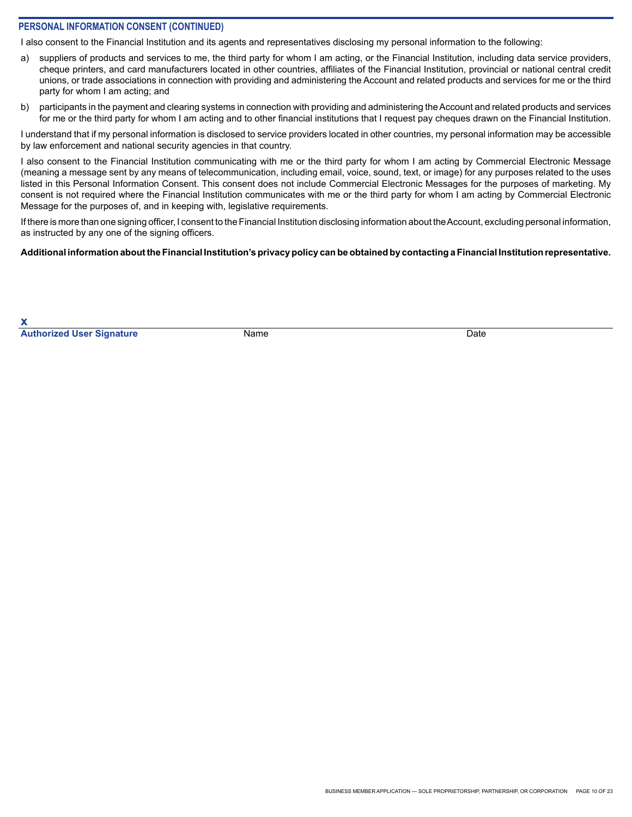## **PERSONAL INFORMATION CONSENT (CONTINUED)**

I also consent to the Financial Institution and its agents and representatives disclosing my personal information to the following:

- a) suppliers of products and services to me, the third party for whom I am acting, or the Financial Institution, including data service providers, cheque printers, and card manufacturers located in other countries, affiliates of the Financial Institution, provincial or national central credit unions, or trade associations in connection with providing and administering the Account and related products and services for me or the third party for whom I am acting; and
- b) participants in the payment and clearing systems in connection with providing and administering the Account and related products and services for me or the third party for whom I am acting and to other financial institutions that I request pay cheques drawn on the Financial Institution.

I understand that if my personal information is disclosed to service providers located in other countries, my personal information may be accessible by law enforcement and national security agencies in that country.

I also consent to the Financial Institution communicating with me or the third party for whom I am acting by Commercial Electronic Message (meaning a message sent by any means of telecommunication, including email, voice, sound, text, or image) for any purposes related to the uses listed in this Personal Information Consent. This consent does not include Commercial Electronic Messages for the purposes of marketing. My consent is not required where the Financial Institution communicates with me or the third party for whom I am acting by Commercial Electronic Message for the purposes of, and in keeping with, legislative requirements.

If there is more than one signing officer, I consent to the Financial Institution disclosing information about the Account, excluding personal information, as instructed by any one of the signing officers.

#### **Additional information about the Financial Institution's privacy policy can be obtained by contacting a Financial Institution representative.**

**x Authorized User Signature** Name Name **Name Date** Date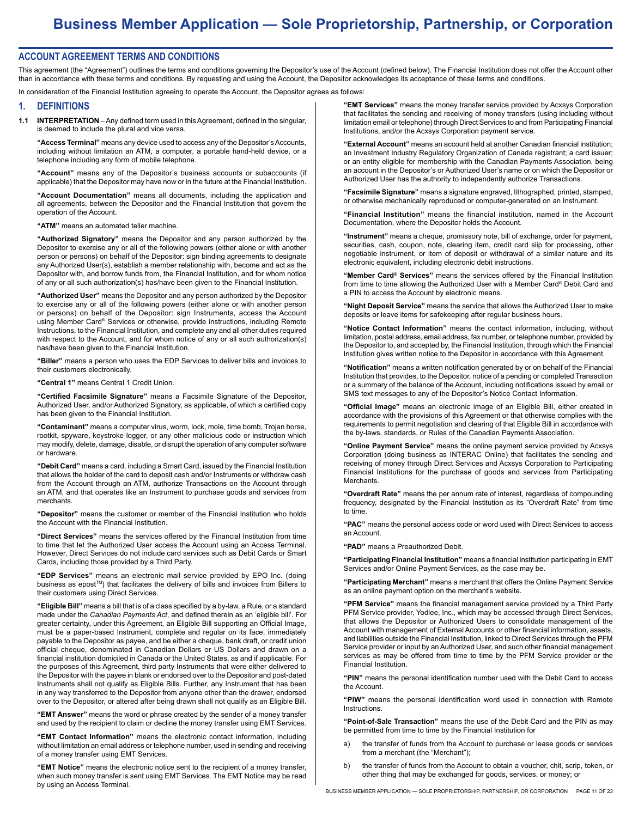#### **ACCOUNT AGREEMENT TERMS AND CONDITIONS**

This agreement (the "Agreement") outlines the terms and conditions governing the Depositor's use of the Account (defined below). The Financial Institution does not offer the Account other than in accordance with these terms and conditions. By requesting and using the Account, the Depositor acknowledges its acceptance of these terms and conditions.

In consideration of the Financial Institution agreeing to operate the Account, the Depositor agrees as follows:

#### **1. DEFINITIONS**

**1.1 INTERPRETATION** – Any defined term used in this Agreement, defined in the singular, is deemed to include the plural and vice versa.

**"Access Terminal"** means any device used to access any of the Depositor's Accounts, including without limitation an ATM, a computer, a portable hand-held device, or a telephone including any form of mobile telephone.

**"Account"** means any of the Depositor's business accounts or subaccounts (if applicable) that the Depositor may have now or in the future at the Financial Institution.

**"Account Documentation"** means all documents, including the application and all agreements, between the Depositor and the Financial Institution that govern the operation of the Account.

**"ATM"** means an automated teller machine.

**"Authorized Signatory"** means the Depositor and any person authorized by the Depositor to exercise any or all of the following powers (either alone or with another person or persons) on behalf of the Depositor: sign binding agreements to designate any Authorized User(s), establish a member relationship with, become and act as the Depositor with, and borrow funds from, the Financial Institution, and for whom notice of any or all such authorization(s) has/have been given to the Financial Institution.

**"Authorized User"** means the Depositor and any person authorized by the Depositor to exercise any or all of the following powers (either alone or with another person or persons) on behalf of the Depositor: sign Instruments, access the Account using Member Card® Services or otherwise, provide instructions, including Remote Instructions, to the Financial Institution, and complete any and all other duties required with respect to the Account, and for whom notice of any or all such authorization(s) has/have been given to the Financial Institution.

**"Biller"** means a person who uses the EDP Services to deliver bills and invoices to their customers electronically.

**"Central 1"** means Central 1 Credit Union.

**"Certified Facsimile Signature"** means a Facsimile Signature of the Depositor, Authorized User, and/or Authorized Signatory, as applicable, of which a certified copy has been given to the Financial Institution.

**"Contaminant"** means a computer virus, worm, lock, mole, time bomb, Trojan horse, rootkit, spyware, keystroke logger, or any other malicious code or instruction which may modify, delete, damage, disable, or disrupt the operation of any computer software or hardware.

**"Debit Card"** means a card, including a Smart Card, issued by the Financial Institution that allows the holder of the card to deposit cash and/or Instruments or withdraw cash from the Account through an ATM, authorize Transactions on the Account through an ATM, and that operates like an Instrument to purchase goods and services from **merchants** 

**"Depositor"** means the customer or member of the Financial Institution who holds the Account with the Financial Institution.

**"Direct Services"** means the services offered by the Financial Institution from time to time that let the Authorized User access the Account using an Access Terminal. However, Direct Services do not include card services such as Debit Cards or Smart Cards, including those provided by a Third Party.

**"EDP Services"** means an electronic mail service provided by EPO Inc. (doing business as epost™) that facilitates the delivery of bills and invoices from Billers to their customers using Direct Services.

**"Eligible Bill"** means a bill that is of a class specified by a by-law, a Rule, or a standard made under the *Canadian Payments Act*, and defined therein as an 'eligible bill'. For greater certainty, under this Agreement, an Eligible Bill supporting an Official Image, must be a paper-based Instrument, complete and regular on its face, immediately payable to the Depositor as payee, and be either a cheque, bank draft, or credit union official cheque, denominated in Canadian Dollars or US Dollars and drawn on a financial institution domiciled in Canada or the United States, as and if applicable. For the purposes of this Agreement, third party Instruments that were either delivered to the Depositor with the payee in blank or endorsed over to the Depositor and post-dated Instruments shall not qualify as Eligible Bills. Further, any Instrument that has been in any way transferred to the Depositor from anyone other than the drawer, endorsed over to the Depositor, or altered after being drawn shall not qualify as an Eligible Bill.

**"EMT Answer"** means the word or phrase created by the sender of a money transfer and used by the recipient to claim or decline the money transfer using EMT Services.

**"EMT Contact Information"** means the electronic contact information, including without limitation an email address or telephone number, used in sending and receiving of a money transfer using EMT Services.

**"EMT Notice"** means the electronic notice sent to the recipient of a money transfer, when such money transfer is sent using EMT Services. The EMT Notice may be read by using an Access Terminal.

**"EMT Services"** means the money transfer service provided by Acxsys Corporation that facilitates the sending and receiving of money transfers (using including without limitation email or telephone) through Direct Services to and from Participating Financial Institutions, and/or the Acxsys Corporation payment service.

**"External Account"** means an account held at another Canadian financial institution; an Investment Industry Regulatory Organization of Canada registrant; a card issuer; or an entity eligible for membership with the Canadian Payments Association, being an account in the Depositor's or Authorized User's name or on which the Depositor or Authorized User has the authority to independently authorize Transactions.

**"Facsimile Signature"** means a signature engraved, lithographed, printed, stamped, or otherwise mechanically reproduced or computer-generated on an Instrument.

**"Financial Institution"** means the financial institution, named in the Account Documentation, where the Depositor holds the Account.

**"Instrument"** means a cheque, promissory note, bill of exchange, order for payment, securities, cash, coupon, note, clearing item, credit card slip for processing, other negotiable instrument, or item of deposit or withdrawal of a similar nature and its electronic equivalent, including electronic debit instructions.

**"Member Card® Services"** means the services offered by the Financial Institution from time to time allowing the Authorized User with a Member Card® Debit Card and a PIN to access the Account by electronic means.

**"Night Deposit Service"** means the service that allows the Authorized User to make deposits or leave items for safekeeping after regular business hours.

**"Notice Contact Information"** means the contact information, including, without limitation, postal address, email address, fax number, or telephone number, provided by the Depositor to, and accepted by, the Financial Institution, through which the Financial Institution gives written notice to the Depositor in accordance with this Agreement.

**"Notification"** means a written notification generated by or on behalf of the Financial Institution that provides, to the Depositor, notice of a pending or completed Transaction or a summary of the balance of the Account, including notifications issued by email or SMS text messages to any of the Depositor's Notice Contact Information.

**"Official Image"** means an electronic image of an Eligible Bill, either created in accordance with the provisions of this Agreement or that otherwise complies with the requirements to permit negotiation and clearing of that Eligible Bill in accordance with the by-laws, standards, or Rules of the Canadian Payments Association.

**"Online Payment Service"** means the online payment service provided by Acxsys Corporation (doing business as INTERAC Online) that facilitates the sending and receiving of money through Direct Services and Acxsys Corporation to Participating Financial Institutions for the purchase of goods and services from Participating **Merchants** 

**"Overdraft Rate"** means the per annum rate of interest, regardless of compounding frequency, designated by the Financial Institution as its "Overdraft Rate" from time to time.

**"PAC"** means the personal access code or word used with Direct Services to access an Account.

**"PAD"** means a Preauthorized Debit.

**"Participating Financial Institution"** means a financial institution participating in EMT Services and/or Online Payment Services, as the case may be.

**"Participating Merchant"** means a merchant that offers the Online Payment Service as an online payment option on the merchant's website.

**"PFM Service"** means the financial management service provided by a Third Party PFM Service provider, Yodlee, Inc., which may be accessed through Direct Services, that allows the Depositor or Authorized Users to consolidate management of the Account with management of External Accounts or other financial information, assets, and liabilities outside the Financial Institution, linked to Direct Services through the PFM Service provider or input by an Authorized User, and such other financial management services as may be offered from time to time by the PFM Service provider or the Financial Institution.

**"PIN"** means the personal identification number used with the Debit Card to access the Account.

**"PIW"** means the personal identification word used in connection with Remote **Instructions** 

**"Point-of-Sale Transaction"** means the use of the Debit Card and the PIN as may be permitted from time to time by the Financial Institution for

- a) the transfer of funds from the Account to purchase or lease goods or services from a merchant (the "Merchant");
- b) the transfer of funds from the Account to obtain a voucher, chit, scrip, token, or other thing that may be exchanged for goods, services, or money; or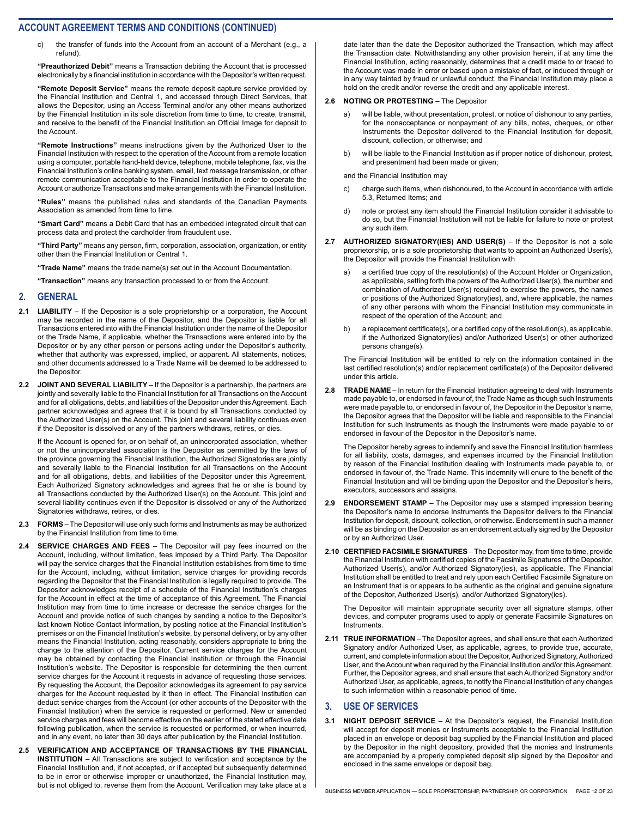c) the transfer of funds into the Account from an account of a Merchant (e.g., a refund).

**"Preauthorized Debit"** means a Transaction debiting the Account that is processed electronically by a financial institution in accordance with the Depositor's written request.

**"Remote Deposit Service"** means the remote deposit capture service provided by the Financial Institution and Central 1, and accessed through Direct Services, that allows the Depositor, using an Access Terminal and/or any other means authorized by the Financial Institution in its sole discretion from time to time, to create, transmit, and receive to the benefit of the Financial Institution an Official Image for deposit to the Account.

**"Remote Instructions"** means instructions given by the Authorized User to the Financial Institution with respect to the operation of the Account from a remote location using a computer, portable hand-held device, telephone, mobile telephone, fax, via the Financial Institution's online banking system, email, text message transmission, or other remote communication acceptable to the Financial Institution in order to operate the Account or authorize Transactions and make arrangements with the Financial Institution.

**"Rules"** means the published rules and standards of the Canadian Payments Association as amended from time to time.

**"Smart Card"** means a Debit Card that has an embedded integrated circuit that can process data and protect the cardholder from fraudulent use.

**"Third Party"** means any person, firm, corporation, association, organization, or entity other than the Financial Institution or Central 1.

**"Trade Name"** means the trade name(s) set out in the Account Documentation.

**"Transaction"** means any transaction processed to or from the Account.

#### **2. GENERAL**

- **2.1 LIABILITY** If the Depositor is a sole proprietorship or a corporation, the Account may be recorded in the name of the Depositor, and the Depositor is liable for all Transactions entered into with the Financial Institution under the name of the Depositor or the Trade Name, if applicable, whether the Transactions were entered into by the Depositor or by any other person or persons acting under the Depositor's authority, whether that authority was expressed, implied, or apparent. All statements, notices, and other documents addressed to a Trade Name will be deemed to be addressed to the Depositor.
- **2.2 JOINT AND SEVERAL LIABILITY** If the Depositor is a partnership, the partners are jointly and severally liable to the Financial Institution for all Transactions on the Account and for all obligations, debts, and liabilities of the Depositor under this Agreement. Each partner acknowledges and agrees that it is bound by all Transactions conducted by the Authorized User(s) on the Account. This joint and several liability continues even if the Depositor is dissolved or any of the partners withdraws, retires, or dies.

If the Account is opened for, or on behalf of, an unincorporated association, whether or not the unincorporated association is the Depositor as permitted by the laws of the province governing the Financial Institution, the Authorized Signatories are jointly and severally liable to the Financial Institution for all Transactions on the Account and for all obligations, debts, and liabilities of the Depositor under this Agreement. Each Authorized Signatory acknowledges and agrees that he or she is bound by all Transactions conducted by the Authorized User(s) on the Account. This joint and several liability continues even if the Depositor is dissolved or any of the Authorized Signatories withdraws, retires, or dies.

- **2.3 FORMS** The Depositor will use only such forms and Instruments as may be authorized by the Financial Institution from time to time.
- **2.4 SERVICE CHARGES AND FEES** The Depositor will pay fees incurred on the Account, including, without limitation, fees imposed by a Third Party. The Depositor will pay the service charges that the Financial Institution establishes from time to time for the Account, including, without limitation, service charges for providing records regarding the Depositor that the Financial Institution is legally required to provide. The Depositor acknowledges receipt of a schedule of the Financial Institution's charges for the Account in effect at the time of acceptance of this Agreement. The Financial Institution may from time to time increase or decrease the service charges for the Account and provide notice of such changes by sending a notice to the Depositor's last known Notice Contact Information, by posting notice at the Financial Institution's premises or on the Financial Institution's website, by personal delivery, or by any other means the Financial Institution, acting reasonably, considers appropriate to bring the change to the attention of the Depositor. Current service charges for the Account may be obtained by contacting the Financial Institution or through the Financial Institution's website. The Depositor is responsible for determining the then current service charges for the Account it requests in advance of requesting those services. By requesting the Account, the Depositor acknowledges its agreement to pay service charges for the Account requested by it then in effect. The Financial Institution can deduct service charges from the Account (or other accounts of the Depositor with the Financial Institution) when the service is requested or performed. New or amended service charges and fees will become effective on the earlier of the stated effective date following publication, when the service is requested or performed, or when incurred, and in any event, no later than 30 days after publication by the Financial Institution.
- **2.5 VERIFICATION AND ACCEPTANCE OF TRANSACTIONS BY THE FINANCIAL INSTITUTION** – All Transactions are subject to verification and acceptance by the Financial Institution and, if not accepted, or if accepted but subsequently determined to be in error or otherwise improper or unauthorized, the Financial Institution may, but is not obliged to, reverse them from the Account. Verification may take place at a

date later than the date the Depositor authorized the Transaction, which may affect the Transaction date. Notwithstanding any other provision herein, if at any time the Financial Institution, acting reasonably, determines that a credit made to or traced to the Account was made in error or based upon a mistake of fact, or induced through or in any way tainted by fraud or unlawful conduct, the Financial Institution may place a hold on the credit and/or reverse the credit and any applicable interest.

#### **2.6 NOTING OR PROTESTING** – The Depositor

- a) will be liable, without presentation, protest, or notice of dishonour to any parties, for the nonacceptance or nonpayment of any bills, notes, cheques, or other Instruments the Depositor delivered to the Financial Institution for deposit, discount, collection, or otherwise; and
- b) will be liable to the Financial Institution as if proper notice of dishonour, protest, and presentment had been made or given;

and the Financial Institution may

- c) charge such items, when dishonoured, to the Account in accordance with article 5.3, Returned Items; and
- d) note or protest any item should the Financial Institution consider it advisable to do so, but the Financial Institution will not be liable for failure to note or protest any such item.
- **2.7 AUTHORIZED SIGNATORY(IES) AND USER(S)** If the Depositor is not a sole proprietorship, or is a sole proprietorship that wants to appoint an Authorized User(s), the Depositor will provide the Financial Institution with
	- a) a certified true copy of the resolution(s) of the Account Holder or Organization, as applicable, setting forth the powers of the Authorized User(s), the number and combination of Authorized User(s) required to exercise the powers, the names or positions of the Authorized Signatory(ies), and, where applicable, the names of any other persons with whom the Financial Institution may communicate in respect of the operation of the Account; and
	- b) a replacement certificate(s), or a certified copy of the resolution(s), as applicable, if the Authorized Signatory(ies) and/or Authorized User(s) or other authorized persons change(s).

The Financial Institution will be entitled to rely on the information contained in the last certified resolution(s) and/or replacement certificate(s) of the Depositor delivered under this article.

**2.8 TRADE NAME** – In return for the Financial Institution agreeing to deal with Instruments made payable to, or endorsed in favour of, the Trade Name as though such Instruments were made payable to, or endorsed in favour of, the Depositor in the Depositor's name, the Depositor agrees that the Depositor will be liable and responsible to the Financial Institution for such Instruments as though the Instruments were made payable to or endorsed in favour of the Depositor in the Depositor's name.

The Depositor hereby agrees to indemnify and save the Financial Institution harmless for all liability, costs, damages, and expenses incurred by the Financial Institution by reason of the Financial Institution dealing with Instruments made payable to, or endorsed in favour of, the Trade Name. This indemnity will enure to the benefit of the Financial Institution and will be binding upon the Depositor and the Depositor's heirs, executors, successors and assigns.

- **2.9 ENDORSEMENT STAMP** The Depositor may use a stamped impression bearing the Depositor's name to endorse Instruments the Depositor delivers to the Financial Institution for deposit, discount, collection, or otherwise. Endorsement in such a manner will be as binding on the Depositor as an endorsement actually signed by the Depositor or by an Authorized User.
- **2.10 CERTIFIED FACSIMILE SIGNATURES** The Depositor may, from time to time, provide the Financial Institution with certified copies of the Facsimile Signatures of the Depositor, Authorized User(s), and/or Authorized Signatory(ies), as applicable. The Financial Institution shall be entitled to treat and rely upon each Certified Facsimile Signature on an Instrument that is or appears to be authentic as the original and genuine signature of the Depositor, Authorized User(s), and/or Authorized Signatory(ies).

The Depositor will maintain appropriate security over all signature stamps, other devices, and computer programs used to apply or generate Facsimile Signatures on Instruments.

**2.11 TRUE INFORMATION** – The Depositor agrees, and shall ensure that each Authorized Signatory and/or Authorized User, as applicable, agrees, to provide true, accurate, current, and complete information about the Depositor, Authorized Signatory, Authorized User, and the Account when required by the Financial Institution and/or this Agreement. Further, the Depositor agrees, and shall ensure that each Authorized Signatory and/or Authorized User, as applicable, agrees, to notify the Financial Institution of any changes to such information within a reasonable period of time.

#### **3. USE OF SERVICES**

**3.1 NIGHT DEPOSIT SERVICE** – At the Depositor's request, the Financial Institution will accept for deposit monies or Instruments acceptable to the Financial Institution placed in an envelope or deposit bag supplied by the Financial Institution and placed by the Depositor in the night depository, provided that the monies and Instruments are accompanied by a properly completed deposit slip signed by the Depositor and enclosed in the same envelope or deposit bag.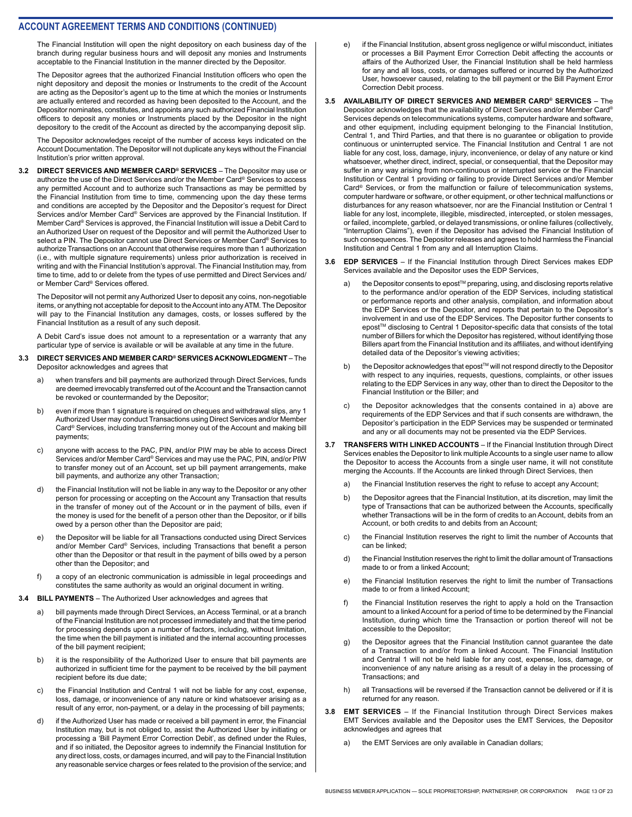The Financial Institution will open the night depository on each business day of the branch during regular business hours and will deposit any monies and Instruments acceptable to the Financial Institution in the manner directed by the Depositor.

The Depositor agrees that the authorized Financial Institution officers who open the night depository and deposit the monies or Instruments to the credit of the Account are acting as the Depositor's agent up to the time at which the monies or Instruments are actually entered and recorded as having been deposited to the Account, and the Depositor nominates, constitutes, and appoints any such authorized Financial Institution officers to deposit any monies or Instruments placed by the Depositor in the night depository to the credit of the Account as directed by the accompanying deposit slip.

The Depositor acknowledges receipt of the number of access keys indicated on the Account Documentation. The Depositor will not duplicate any keys without the Financial Institution's prior written approval.

**3.2 DIRECT SERVICES AND MEMBER CARD® SERVICES** – The Depositor may use or authorize the use of the Direct Services and/or the Member Card® Services to access any permitted Account and to authorize such Transactions as may be permitted by the Financial Institution from time to time, commencing upon the day these terms and conditions are accepted by the Depositor and the Depositor's request for Direct Services and/or Member Card® Services are approved by the Financial Institution. If Member Card® Services is approved, the Financial Institution will issue a Debit Card to an Authorized User on request of the Depositor and will permit the Authorized User to select a PIN. The Depositor cannot use Direct Services or Member Card® Services to authorize Transactions on an Account that otherwise requires more than 1 authorization (i.e., with multiple signature requirements) unless prior authorization is received in writing and with the Financial Institution's approval. The Financial Institution may, from time to time, add to or delete from the types of use permitted and Direct Services and/ or Member Card® Services offered.

The Depositor will not permit any Authorized User to deposit any coins, non-negotiable items, or anything not acceptable for deposit to the Account into any ATM. The Depositor will pay to the Financial Institution any damages, costs, or losses suffered by the Financial Institution as a result of any such deposit.

A Debit Card's issue does not amount to a representation or a warranty that any particular type of service is available or will be available at any time in the future.

#### **3.3 DIRECT SERVICES AND MEMBER CARD® SERVICES ACKNOWLEDGMENT** – The Depositor acknowledges and agrees that

- when transfers and bill payments are authorized through Direct Services, funds are deemed irrevocably transferred out of the Account and the Transaction cannot be revoked or countermanded by the Depositor;
- b) even if more than 1 signature is required on cheques and withdrawal slips, any 1 Authorized User may conduct Transactions using Direct Services and/or Member Card® Services, including transferring money out of the Account and making bill payments;
- c) anyone with access to the PAC, PIN, and/or PIW may be able to access Direct Services and/or Member Card® Services and may use the PAC, PIN, and/or PIW to transfer money out of an Account, set up bill payment arrangements, make bill payments, and authorize any other Transaction;
- d) the Financial Institution will not be liable in any way to the Depositor or any other person for processing or accepting on the Account any Transaction that results in the transfer of money out of the Account or in the payment of bills, even if the money is used for the benefit of a person other than the Depositor, or if bills owed by a person other than the Depositor are paid;
- e) the Depositor will be liable for all Transactions conducted using Direct Services and/or Member Card® Services, including Transactions that benefit a person other than the Depositor or that result in the payment of bills owed by a person other than the Depositor; and
- f) a copy of an electronic communication is admissible in legal proceedings and constitutes the same authority as would an original document in writing.
- **3.4 BILL PAYMENTS** The Authorized User acknowledges and agrees that
	- a) bill payments made through Direct Services, an Access Terminal, or at a branch of the Financial Institution are not processed immediately and that the time period for processing depends upon a number of factors, including, without limitation, the time when the bill payment is initiated and the internal accounting processes of the bill payment recipient;
	- b) it is the responsibility of the Authorized User to ensure that bill payments are authorized in sufficient time for the payment to be received by the bill payment recipient before its due date;
	- c) the Financial Institution and Central 1 will not be liable for any cost, expense, loss, damage, or inconvenience of any nature or kind whatsoever arising as a result of any error, non-payment, or a delay in the processing of bill payments;
	- d) if the Authorized User has made or received a bill payment in error, the Financial Institution may, but is not obliged to, assist the Authorized User by initiating or processing a 'Bill Payment Error Correction Debit', as defined under the Rules, and if so initiated, the Depositor agrees to indemnify the Financial Institution for any direct loss, costs, or damages incurred, and will pay to the Financial Institution any reasonable service charges or fees related to the provision of the service; and
- e) if the Financial Institution, absent gross negligence or wilful misconduct, initiates or processes a Bill Payment Error Correction Debit affecting the accounts or affairs of the Authorized User, the Financial Institution shall be held harmless for any and all loss, costs, or damages suffered or incurred by the Authorized User, howsoever caused, relating to the bill payment or the Bill Payment Error Correction Debit process.
- **3.5 AVAILABILITY OF DIRECT SERVICES AND MEMBER CARD® SERVICES** The Depositor acknowledges that the availability of Direct Services and/or Member Card® Services depends on telecommunications systems, computer hardware and software, and other equipment, including equipment belonging to the Financial Institution, Central 1, and Third Parties, and that there is no guarantee or obligation to provide continuous or uninterrupted service. The Financial Institution and Central 1 are not liable for any cost, loss, damage, injury, inconvenience, or delay of any nature or kind whatsoever, whether direct, indirect, special, or consequential, that the Depositor may suffer in any way arising from non-continuous or interrupted service or the Financial Institution or Central 1 providing or failing to provide Direct Services and/or Member Card® Services, or from the malfunction or failure of telecommunication systems, computer hardware or software, or other equipment, or other technical malfunctions or disturbances for any reason whatsoever, nor are the Financial Institution or Central 1 liable for any lost, incomplete, illegible, misdirected, intercepted, or stolen messages, or failed, incomplete, garbled, or delayed transmissions, or online failures (collectively, "Interruption Claims"), even if the Depositor has advised the Financial Institution of such consequences. The Depositor releases and agrees to hold harmless the Financial Institution and Central 1 from any and all Interruption Claims.

#### **3.6 EDP SERVICES** – If the Financial Institution through Direct Services makes EDP Services available and the Depositor uses the EDP Services,

- a) the Depositor consents to epost™ preparing, using, and disclosing reports relative to the performance and/or operation of the EDP Services, including statistical or performance reports and other analysis, compilation, and information about the EDP Services or the Depositor, and reports that pertain to the Depositor's involvement in and use of the EDP Services. The Depositor further consents to epost™ disclosing to Central 1 Depositor-specific data that consists of the total number of Billers for which the Depositor has registered, without identifying those Billers apart from the Financial Institution and its affiliates, and without identifying detailed data of the Depositor's viewing activities;
- b) the Depositor acknowledges that epost™ will not respond directly to the Depositor with respect to any inquiries, requests, questions, complaints, or other issues relating to the EDP Services in any way, other than to direct the Depositor to the Financial Institution or the Biller; and
- c) the Depositor acknowledges that the consents contained in a) above are requirements of the EDP Services and that if such consents are withdrawn, the Depositor's participation in the EDP Services may be suspended or terminated and any or all documents may not be presented via the EDP Services.
- **3.7 TRANSFERS WITH LINKED ACCOUNTS** If the Financial Institution through Direct Services enables the Depositor to link multiple Accounts to a single user name to allow the Depositor to access the Accounts from a single user name, it will not constitute merging the Accounts. If the Accounts are linked through Direct Services, then
	- a) the Financial Institution reserves the right to refuse to accept any Account;
	- b) the Depositor agrees that the Financial Institution, at its discretion, may limit the type of Transactions that can be authorized between the Accounts, specifically whether Transactions will be in the form of credits to an Account, debits from an Account, or both credits to and debits from an Account;
	- c) the Financial Institution reserves the right to limit the number of Accounts that can be linked;
	- d) the Financial Institution reserves the right to limit the dollar amount of Transactions made to or from a linked Account:
	- e) the Financial Institution reserves the right to limit the number of Transactions made to or from a linked Account:
	- f) the Financial Institution reserves the right to apply a hold on the Transaction amount to a linked Account for a period of time to be determined by the Financial Institution, during which time the Transaction or portion thereof will not be accessible to the Depositor;
	- g) the Depositor agrees that the Financial Institution cannot guarantee the date of a Transaction to and/or from a linked Account. The Financial Institution and Central 1 will not be held liable for any cost, expense, loss, damage, or inconvenience of any nature arising as a result of a delay in the processing of Transactions; and
	- h) all Transactions will be reversed if the Transaction cannot be delivered or if it is returned for any reason.
- **3.8 EMT SERVICES** If the Financial Institution through Direct Services makes EMT Services available and the Depositor uses the EMT Services, the Depositor acknowledges and agrees that
	- a) the EMT Services are only available in Canadian dollars;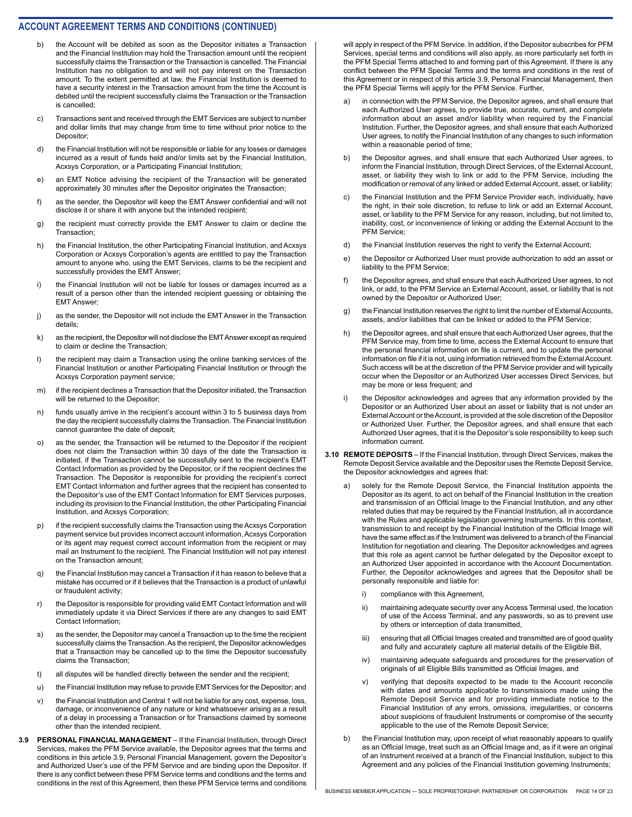- b) the Account will be debited as soon as the Depositor initiates a Transaction and the Financial Institution may hold the Transaction amount until the recipient successfully claims the Transaction or the Transaction is cancelled. The Financial Institution has no obligation to and will not pay interest on the Transaction amount. To the extent permitted at law, the Financial Institution is deemed to have a security interest in the Transaction amount from the time the Account is debited until the recipient successfully claims the Transaction or the Transaction is cancelled;
- c) Transactions sent and received through the EMT Services are subject to number and dollar limits that may change from time to time without prior notice to the Depositor;
- d) the Financial Institution will not be responsible or liable for any losses or damages incurred as a result of funds held and/or limits set by the Financial Institution, Acxsys Corporation, or a Participating Financial Institution;
- e) an EMT Notice advising the recipient of the Transaction will be generated approximately 30 minutes after the Depositor originates the Transaction;
- f) as the sender, the Depositor will keep the EMT Answer confidential and will not disclose it or share it with anyone but the intended recipient;
- g) the recipient must correctly provide the EMT Answer to claim or decline the Transaction;
- h) the Financial Institution, the other Participating Financial Institution, and Acxsys Corporation or Acxsys Corporation's agents are entitled to pay the Transaction amount to anyone who, using the EMT Services, claims to be the recipient and successfully provides the EMT Answer;
- i) the Financial Institution will not be liable for losses or damages incurred as a result of a person other than the intended recipient guessing or obtaining the EMT Answer;
- j) as the sender, the Depositor will not include the EMT Answer in the Transaction details;
- k) as the recipient, the Depositor will not disclose the EMT Answer except as required to claim or decline the Transaction;
- l) the recipient may claim a Transaction using the online banking services of the Financial Institution or another Participating Financial Institution or through the Acxsys Corporation payment service;
- m) if the recipient declines a Transaction that the Depositor initiated, the Transaction will be returned to the Depositor;
- n) funds usually arrive in the recipient's account within 3 to 5 business days from the day the recipient successfully claims the Transaction. The Financial Institution cannot guarantee the date of deposit;
- o) as the sender, the Transaction will be returned to the Depositor if the recipient does not claim the Transaction within 30 days of the date the Transaction is initiated, if the Transaction cannot be successfully sent to the recipient's EMT Contact Information as provided by the Depositor, or if the recipient declines the Transaction. The Depositor is responsible for providing the recipient's correct EMT Contact Information and further agrees that the recipient has consented to the Depositor's use of the EMT Contact Information for EMT Services purposes, including its provision to the Financial Institution, the other Participating Financial Institution, and Acxsys Corporation;
- p) if the recipient successfully claims the Transaction using the Acxsys Corporation payment service but provides incorrect account information, Acxsys Corporation or its agent may request correct account information from the recipient or may mail an Instrument to the recipient. The Financial Institution will not pay interest on the Transaction amount;
- q) the Financial Institution may cancel a Transaction if it has reason to believe that a mistake has occurred or if it believes that the Transaction is a product of unlawful or fraudulent activity;
- r) the Depositor is responsible for providing valid EMT Contact Information and will immediately update it via Direct Services if there are any changes to said EMT Contact Information;
- s) as the sender, the Depositor may cancel a Transaction up to the time the recipient successfully claims the Transaction. As the recipient, the Depositor acknowledges that a Transaction may be cancelled up to the time the Depositor successfully claims the Transaction;
- t) all disputes will be handled directly between the sender and the recipient;
- u) the Financial Institution may refuse to provide EMT Services for the Depositor; and
- v) the Financial Institution and Central 1 will not be liable for any cost, expense, loss, damage, or inconvenience of any nature or kind whatsoever arising as a result of a delay in processing a Transaction or for Transactions claimed by someone other than the intended recipient.
- **3.9 PERSONAL FINANCIAL MANAGEMENT**  If the Financial Institution, through Direct Services, makes the PFM Service available, the Depositor agrees that the terms and conditions in this article 3.9, Personal Financial Management, govern the Depositor's and Authorized User's use of the PFM Service and are binding upon the Depositor. If there is any conflict between these PFM Service terms and conditions and the terms and conditions in the rest of this Agreement, then these PFM Service terms and conditions

will apply in respect of the PFM Service. In addition, if the Depositor subscribes for PFM Services, special terms and conditions will also apply, as more particularly set forth in the PFM Special Terms attached to and forming part of this Agreement. If there is any conflict between the PFM Special Terms and the terms and conditions in the rest of this Agreement or in respect of this article 3.9, Personal Financial Management, then the PFM Special Terms will apply for the PFM Service. Further,

- a) in connection with the PFM Service, the Depositor agrees, and shall ensure that each Authorized User agrees, to provide true, accurate, current, and complete information about an asset and/or liability when required by the Financial Institution. Further, the Depositor agrees, and shall ensure that each Authorized User agrees, to notify the Financial Institution of any changes to such information within a reasonable period of time;
- b) the Depositor agrees, and shall ensure that each Authorized User agrees, to inform the Financial Institution, through Direct Services, of the External Account, asset, or liability they wish to link or add to the PFM Service, including the modification or removal of any linked or added External Account, asset, or liability;
- c) the Financial Institution and the PFM Service Provider each, individually, have the right, in their sole discretion, to refuse to link or add an External Account, asset, or liability to the PFM Service for any reason, including, but not limited to, inability, cost, or inconvenience of linking or adding the External Account to the PFM Service;
- d) the Financial Institution reserves the right to verify the External Account;
- e) the Depositor or Authorized User must provide authorization to add an asset or liability to the PFM Service;
- f) the Depositor agrees, and shall ensure that each Authorized User agrees, to not link, or add, to the PFM Service an External Account, asset, or liability that is not owned by the Depositor or Authorized User;
- g) the Financial Institution reserves the right to limit the number of External Accounts, assets, and/or liabilities that can be linked or added to the PFM Service;
- h) the Depositor agrees, and shall ensure that each Authorized User agrees, that the PFM Service may, from time to time, access the External Account to ensure that the personal financial information on file is current, and to update the personal information on file if it is not, using information retrieved from the External Account. Such access will be at the discretion of the PFM Service provider and will typically occur when the Depositor or an Authorized User accesses Direct Services, but may be more or less frequent; and
- i) the Depositor acknowledges and agrees that any information provided by the Depositor or an Authorized User about an asset or liability that is not under an External Account or the Account, is provided at the sole discretion of the Depositor or Authorized User. Further, the Depositor agrees, and shall ensure that each Authorized User agrees, that it is the Depositor's sole responsibility to keep such information current.
- **3.10 REMOTE DEPOSITS** If the Financial Institution, through Direct Services, makes the Remote Deposit Service available and the Depositor uses the Remote Deposit Service, the Depositor acknowledges and agrees that:
	- a) solely for the Remote Deposit Service, the Financial Institution appoints the Depositor as its agent, to act on behalf of the Financial Institution in the creation and transmission of an Official Image to the Financial Institution, and any other related duties that may be required by the Financial Institution, all in accordance with the Rules and applicable legislation governing Instruments. In this context, transmission to and receipt by the Financial Institution of the Official Image will have the same effect as if the Instrument was delivered to a branch of the Financial Institution for negotiation and clearing. The Depositor acknowledges and agrees that this role as agent cannot be further delegated by the Depositor except to an Authorized User appointed in accordance with the Account Documentation. Further, the Depositor acknowledges and agrees that the Depositor shall be personally responsible and liable for:
		- i) compliance with this Agreement,
		- ii) maintaining adequate security over any Access Terminal used, the location of use of the Access Terminal, and any passwords, so as to prevent use by others or interception of data transmitted,
		- iii) ensuring that all Official Images created and transmitted are of good quality and fully and accurately capture all material details of the Eligible Bill,
		- iv) maintaining adequate safeguards and procedures for the preservation of originals of all Eligible Bills transmitted as Official Images, and
		- v) verifying that deposits expected to be made to the Account reconcile with dates and amounts applicable to transmissions made using the Remote Deposit Service and for providing immediate notice to the Financial Institution of any errors, omissions, irregularities, or concerns about suspicions of fraudulent Instruments or compromise of the security applicable to the use of the Remote Deposit Service;
	- b) the Financial Institution may, upon receipt of what reasonably appears to qualify as an Official Image, treat such as an Official Image and, as if it were an original of an Instrument received at a branch of the Financial Institution, subject to this Agreement and any policies of the Financial Institution governing Instruments;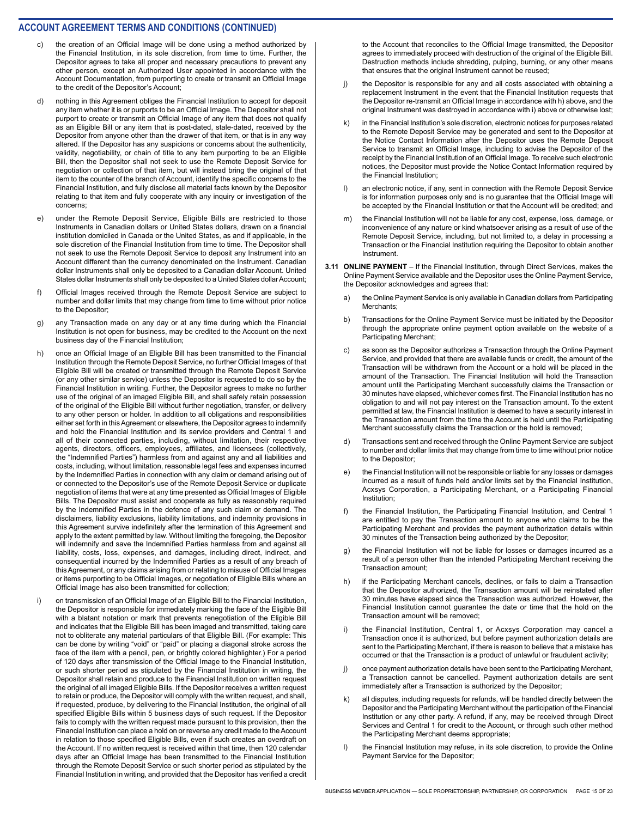- the creation of an Official Image will be done using a method authorized by the Financial Institution, in its sole discretion, from time to time. Further, the Depositor agrees to take all proper and necessary precautions to prevent any other person, except an Authorized User appointed in accordance with the Account Documentation, from purporting to create or transmit an Official Image to the credit of the Depositor's Account;
- d) nothing in this Agreement obliges the Financial Institution to accept for deposit any item whether it is or purports to be an Official Image. The Depositor shall not purport to create or transmit an Official Image of any item that does not qualify as an Eligible Bill or any item that is post-dated, stale-dated, received by the Depositor from anyone other than the drawer of that item, or that is in any way altered. If the Depositor has any suspicions or concerns about the authenticity, validity, negotiability, or chain of title to any item purporting to be an Eligible Bill, then the Depositor shall not seek to use the Remote Deposit Service for negotiation or collection of that item, but will instead bring the original of that item to the counter of the branch of Account, identify the specific concerns to the Financial Institution, and fully disclose all material facts known by the Depositor relating to that item and fully cooperate with any inquiry or investigation of the concerns;
- e) under the Remote Deposit Service, Eligible Bills are restricted to those Instruments in Canadian dollars or United States dollars, drawn on a financial institution domiciled in Canada or the United States, as and if applicable, in the sole discretion of the Financial Institution from time to time. The Depositor shall not seek to use the Remote Deposit Service to deposit any Instrument into an Account different than the currency denominated on the Instrument. Canadian dollar Instruments shall only be deposited to a Canadian dollar Account. United States dollar Instruments shall only be deposited to a United States dollar Account;
- f) Official Images received through the Remote Deposit Service are subject to number and dollar limits that may change from time to time without prior notice to the Depositor;
- g) any Transaction made on any day or at any time during which the Financial Institution is not open for business, may be credited to the Account on the next business day of the Financial Institution;
- h) once an Official Image of an Eligible Bill has been transmitted to the Financial Institution through the Remote Deposit Service, no further Official Images of that Eligible Bill will be created or transmitted through the Remote Deposit Service (or any other similar service) unless the Depositor is requested to do so by the Financial Institution in writing. Further, the Depositor agrees to make no further use of the original of an imaged Eligible Bill, and shall safely retain possession of the original of the Eligible Bill without further negotiation, transfer, or delivery to any other person or holder. In addition to all obligations and responsibilities either set forth in this Agreement or elsewhere, the Depositor agrees to indemnify and hold the Financial Institution and its service providers and Central 1 and all of their connected parties, including, without limitation, their respective agents, directors, officers, employees, affiliates, and licensees (collectively, the "Indemnified Parties") harmless from and against any and all liabilities and costs, including, without limitation, reasonable legal fees and expenses incurred by the Indemnified Parties in connection with any claim or demand arising out of or connected to the Depositor's use of the Remote Deposit Service or duplicate negotiation of items that were at any time presented as Official Images of Eligible Bills. The Depositor must assist and cooperate as fully as reasonably required by the Indemnified Parties in the defence of any such claim or demand. The disclaimers, liability exclusions, liability limitations, and indemnity provisions in this Agreement survive indefinitely after the termination of this Agreement and apply to the extent permitted by law. Without limiting the foregoing, the Depositor will indemnify and save the Indemnified Parties harmless from and against all liability, costs, loss, expenses, and damages, including direct, indirect, and consequential incurred by the Indemnified Parties as a result of any breach of this Agreement, or any claims arising from or relating to misuse of Official Images or items purporting to be Official Images, or negotiation of Eligible Bills where an Official Image has also been transmitted for collection;
- i) on transmission of an Official Image of an Eligible Bill to the Financial Institution, the Depositor is responsible for immediately marking the face of the Eligible Bill with a blatant notation or mark that prevents renegotiation of the Eligible Bill and indicates that the Eligible Bill has been imaged and transmitted, taking care not to obliterate any material particulars of that Eligible Bill. (For example: This can be done by writing "void" or "paid" or placing a diagonal stroke across the face of the item with a pencil, pen, or brightly colored highlighter.) For a period of 120 days after transmission of the Official Image to the Financial Institution, or such shorter period as stipulated by the Financial Institution in writing, the Depositor shall retain and produce to the Financial Institution on written request the original of all imaged Eligible Bills. If the Depositor receives a written request to retain or produce, the Depositor will comply with the written request, and shall, if requested, produce, by delivering to the Financial Institution, the original of all specified Eligible Bills within 5 business days of such request. If the Depositor fails to comply with the written request made pursuant to this provision, then the Financial Institution can place a hold on or reverse any credit made to the Account in relation to those specified Eligible Bills, even if such creates an overdraft on the Account. If no written request is received within that time, then 120 calendar days after an Official Image has been transmitted to the Financial Institution through the Remote Deposit Service or such shorter period as stipulated by the Financial Institution in writing, and provided that the Depositor has verified a credit

to the Account that reconciles to the Official Image transmitted, the Depositor agrees to immediately proceed with destruction of the original of the Eligible Bill. Destruction methods include shredding, pulping, burning, or any other means that ensures that the original Instrument cannot be reused;

- j) the Depositor is responsible for any and all costs associated with obtaining a replacement Instrument in the event that the Financial Institution requests that the Depositor re-transmit an Official Image in accordance with h) above, and the original Instrument was destroyed in accordance with i) above or otherwise lost;
- k) in the Financial Institution's sole discretion, electronic notices for purposes related to the Remote Deposit Service may be generated and sent to the Depositor at the Notice Contact Information after the Depositor uses the Remote Deposit Service to transmit an Official Image, including to advise the Depositor of the receipt by the Financial Institution of an Official Image. To receive such electronic notices, the Depositor must provide the Notice Contact Information required by the Financial Institution;
- l) an electronic notice, if any, sent in connection with the Remote Deposit Service is for information purposes only and is no guarantee that the Official Image will be accepted by the Financial Institution or that the Account will be credited; and
- m) the Financial Institution will not be liable for any cost, expense, loss, damage, or inconvenience of any nature or kind whatsoever arising as a result of use of the Remote Deposit Service, including, but not limited to, a delay in processing a Transaction or the Financial Institution requiring the Depositor to obtain another **Instrument**
- **3.11 ONLINE PAYMENT** If the Financial Institution, through Direct Services, makes the Online Payment Service available and the Depositor uses the Online Payment Service, the Depositor acknowledges and agrees that:
	- a) the Online Payment Service is only available in Canadian dollars from Participating Merchants;
	- b) Transactions for the Online Payment Service must be initiated by the Depositor through the appropriate online payment option available on the website of a Participating Merchant;
	- c) as soon as the Depositor authorizes a Transaction through the Online Payment Service, and provided that there are available funds or credit, the amount of the Transaction will be withdrawn from the Account or a hold will be placed in the amount of the Transaction. The Financial Institution will hold the Transaction amount until the Participating Merchant successfully claims the Transaction or 30 minutes have elapsed, whichever comes first. The Financial Institution has no obligation to and will not pay interest on the Transaction amount. To the extent permitted at law, the Financial Institution is deemed to have a security interest in the Transaction amount from the time the Account is held until the Participating Merchant successfully claims the Transaction or the hold is removed;
	- d) Transactions sent and received through the Online Payment Service are subject to number and dollar limits that may change from time to time without prior notice to the Depositor;
	- e) the Financial Institution will not be responsible or liable for any losses or damages incurred as a result of funds held and/or limits set by the Financial Institution, Acxsys Corporation, a Participating Merchant, or a Participating Financial Institution;
	- f) the Financial Institution, the Participating Financial Institution, and Central 1 are entitled to pay the Transaction amount to anyone who claims to be the Participating Merchant and provides the payment authorization details within 30 minutes of the Transaction being authorized by the Depositor;
	- g) the Financial Institution will not be liable for losses or damages incurred as a result of a person other than the intended Participating Merchant receiving the Transaction amount;
	- h) if the Participating Merchant cancels, declines, or fails to claim a Transaction that the Depositor authorized, the Transaction amount will be reinstated after 30 minutes have elapsed since the Transaction was authorized. However, the Financial Institution cannot guarantee the date or time that the hold on the Transaction amount will be removed;
	- i) the Financial Institution, Central 1, or Acxsys Corporation may cancel a Transaction once it is authorized, but before payment authorization details are sent to the Participating Merchant, if there is reason to believe that a mistake has occurred or that the Transaction is a product of unlawful or fraudulent activity;
	- j) once payment authorization details have been sent to the Participating Merchant, a Transaction cannot be cancelled. Payment authorization details are sent immediately after a Transaction is authorized by the Depositor;
	- k) all disputes, including requests for refunds, will be handled directly between the Depositor and the Participating Merchant without the participation of the Financial Institution or any other party. A refund, if any, may be received through Direct Services and Central 1 for credit to the Account, or through such other method the Participating Merchant deems appropriate;
	- l) the Financial Institution may refuse, in its sole discretion, to provide the Online Payment Service for the Depositor;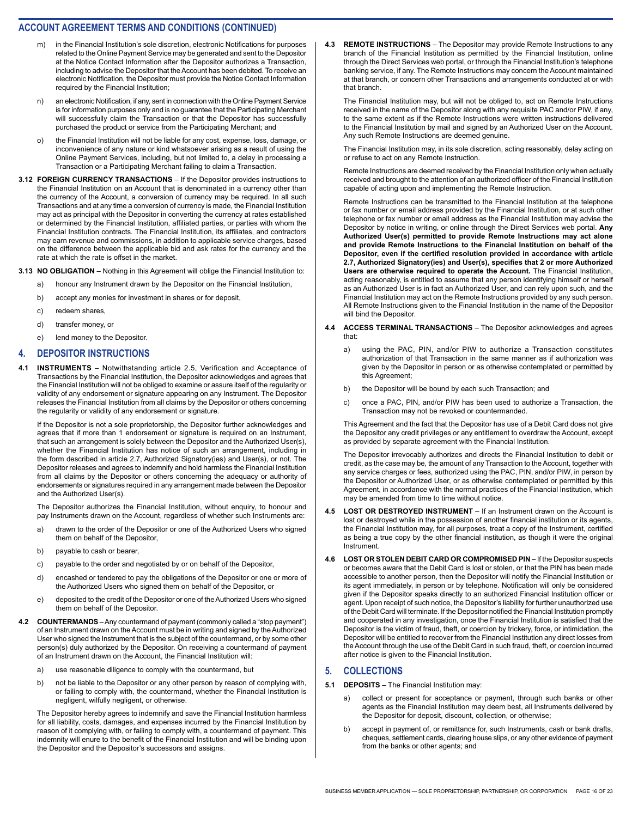- m) in the Financial Institution's sole discretion, electronic Notifications for purposes related to the Online Payment Service may be generated and sent to the Depositor at the Notice Contact Information after the Depositor authorizes a Transaction, including to advise the Depositor that the Account has been debited. To receive an electronic Notification, the Depositor must provide the Notice Contact Information required by the Financial Institution;
- n) an electronic Notification, if any, sent in connection with the Online Payment Service is for information purposes only and is no guarantee that the Participating Merchant will successfully claim the Transaction or that the Depositor has successfully purchased the product or service from the Participating Merchant; and
- o) the Financial Institution will not be liable for any cost, expense, loss, damage, or inconvenience of any nature or kind whatsoever arising as a result of using the Online Payment Services, including, but not limited to, a delay in processing a Transaction or a Participating Merchant failing to claim a Transaction.
- **3.12 FOREIGN CURRENCY TRANSACTIONS** If the Depositor provides instructions to the Financial Institution on an Account that is denominated in a currency other than the currency of the Account, a conversion of currency may be required. In all such Transactions and at any time a conversion of currency is made, the Financial Institution may act as principal with the Depositor in converting the currency at rates established or determined by the Financial Institution, affiliated parties, or parties with whom the Financial Institution contracts. The Financial Institution, its affiliates, and contractors may earn revenue and commissions, in addition to applicable service charges, based on the difference between the applicable bid and ask rates for the currency and the rate at which the rate is offset in the market.
- **3.13 NO OBLIGATION** Nothing in this Agreement will oblige the Financial Institution to:
	- a) honour any Instrument drawn by the Depositor on the Financial Institution,
	- b) accept any monies for investment in shares or for deposit,
	- c) redeem shares,
	- d) transfer money, or
	- e) lend money to the Depositor.

#### **4. DEPOSITOR INSTRUCTIONS**

**4.1 INSTRUMENTS** – Notwithstanding article 2.5, Verification and Acceptance of Transactions by the Financial Institution, the Depositor acknowledges and agrees that the Financial Institution will not be obliged to examine or assure itself of the regularity or validity of any endorsement or signature appearing on any Instrument. The Depositor releases the Financial Institution from all claims by the Depositor or others concerning the regularity or validity of any endorsement or signature.

If the Depositor is not a sole proprietorship, the Depositor further acknowledges and agrees that if more than 1 endorsement or signature is required on an Instrument, that such an arrangement is solely between the Depositor and the Authorized User(s), whether the Financial Institution has notice of such an arrangement, including in the form described in article 2.7, Authorized Signatory(ies) and User(s), or not. The Depositor releases and agrees to indemnify and hold harmless the Financial Institution from all claims by the Depositor or others concerning the adequacy or authority of endorsements or signatures required in any arrangement made between the Depositor and the Authorized User(s).

The Depositor authorizes the Financial Institution, without enquiry, to honour and pay Instruments drawn on the Account, regardless of whether such Instruments are:

- a) drawn to the order of the Depositor or one of the Authorized Users who signed them on behalf of the Depositor,
- b) payable to cash or bearer,
- c) payable to the order and negotiated by or on behalf of the Depositor,
- d) encashed or tendered to pay the obligations of the Depositor or one or more of the Authorized Users who signed them on behalf of the Depositor, or
- e) deposited to the credit of the Depositor or one of the Authorized Users who signed them on behalf of the Depositor.
- **4.2 COUNTERMANDS** Any countermand of payment (commonly called a "stop payment") of an Instrument drawn on the Account must be in writing and signed by the Authorized User who signed the Instrument that is the subject of the countermand, or by some other person(s) duly authorized by the Depositor. On receiving a countermand of payment of an Instrument drawn on the Account, the Financial Institution will:
	- a) use reasonable diligence to comply with the countermand, but
	- b) not be liable to the Depositor or any other person by reason of complying with, or failing to comply with, the countermand, whether the Financial Institution is negligent, wilfully negligent, or otherwise.

The Depositor hereby agrees to indemnify and save the Financial Institution harmless for all liability, costs, damages, and expenses incurred by the Financial Institution by reason of it complying with, or failing to comply with, a countermand of payment. This indemnity will enure to the benefit of the Financial Institution and will be binding upon the Depositor and the Depositor's successors and assigns.

**4.3 REMOTE INSTRUCTIONS** – The Depositor may provide Remote Instructions to any branch of the Financial Institution as permitted by the Financial Institution, online through the Direct Services web portal, or through the Financial Institution's telephone banking service, if any. The Remote Instructions may concern the Account maintained at that branch, or concern other Transactions and arrangements conducted at or with that branch.

The Financial Institution may, but will not be obliged to, act on Remote Instructions received in the name of the Depositor along with any requisite PAC and/or PIW, if any, to the same extent as if the Remote Instructions were written instructions delivered to the Financial Institution by mail and signed by an Authorized User on the Account. Any such Remote Instructions are deemed genuine.

The Financial Institution may, in its sole discretion, acting reasonably, delay acting on or refuse to act on any Remote Instruction.

Remote Instructions are deemed received by the Financial Institution only when actually received and brought to the attention of an authorized officer of the Financial Institution capable of acting upon and implementing the Remote Instruction.

Remote Instructions can be transmitted to the Financial Institution at the telephone or fax number or email address provided by the Financial Institution, or at such other telephone or fax number or email address as the Financial Institution may advise the Depositor by notice in writing, or online through the Direct Services web portal. **Any Authorized User(s) permitted to provide Remote Instructions may act alone and provide Remote Instructions to the Financial Institution on behalf of the Depositor, even if the certified resolution provided in accordance with article 2.7, Authorized Signatory(ies) and User(s), specifies that 2 or more Authorized Users are otherwise required to operate the Account.** The Financial Institution, acting reasonably, is entitled to assume that any person identifying himself or herself as an Authorized User is in fact an Authorized User, and can rely upon such, and the Financial Institution may act on the Remote Instructions provided by any such person. All Remote Instructions given to the Financial Institution in the name of the Depositor will bind the Depositor.

- **4.4 ACCESS TERMINAL TRANSACTIONS** The Depositor acknowledges and agrees that:
	- a) using the PAC, PIN, and/or PIW to authorize a Transaction constitutes authorization of that Transaction in the same manner as if authorization was given by the Depositor in person or as otherwise contemplated or permitted by this Agreement;
	- b) the Depositor will be bound by each such Transaction; and
	- c) once a PAC, PIN, and/or PIW has been used to authorize a Transaction, the Transaction may not be revoked or countermanded.

This Agreement and the fact that the Depositor has use of a Debit Card does not give the Depositor any credit privileges or any entitlement to overdraw the Account, except as provided by separate agreement with the Financial Institution.

The Depositor irrevocably authorizes and directs the Financial Institution to debit or credit, as the case may be, the amount of any Transaction to the Account, together with any service charges or fees, authorized using the PAC, PIN, and/or PIW, in person by the Depositor or Authorized User, or as otherwise contemplated or permitted by this Agreement, in accordance with the normal practices of the Financial Institution, which may be amended from time to time without notice.

- **4.5 LOST OR DESTROYED INSTRUMENT** If an Instrument drawn on the Account is lost or destroyed while in the possession of another financial institution or its agents, the Financial Institution may, for all purposes, treat a copy of the Instrument, certified as being a true copy by the other financial institution, as though it were the original Instrument.
- **4.6 LOST OR STOLEN DEBIT CARD OR COMPROMISED PIN** If the Depositor suspects or becomes aware that the Debit Card is lost or stolen, or that the PIN has been made accessible to another person, then the Depositor will notify the Financial Institution or its agent immediately, in person or by telephone. Notification will only be considered given if the Depositor speaks directly to an authorized Financial Institution officer or agent. Upon receipt of such notice, the Depositor's liability for further unauthorized use of the Debit Card will terminate. If the Depositor notified the Financial Institution promptly and cooperated in any investigation, once the Financial Institution is satisfied that the Depositor is the victim of fraud, theft, or coercion by trickery, force, or intimidation, the Depositor will be entitled to recover from the Financial Institution any direct losses from the Account through the use of the Debit Card in such fraud, theft, or coercion incurred after notice is given to the Financial Institution.

#### **5. COLLECTIONS**

- **5.1 DEPOSITS** The Financial Institution may:
	- a) collect or present for acceptance or payment, through such banks or other agents as the Financial Institution may deem best, all Instruments delivered by the Depositor for deposit, discount, collection, or otherwise;
	- b) accept in payment of, or remittance for, such Instruments, cash or bank drafts, cheques, settlement cards, clearing house slips, or any other evidence of payment from the banks or other agents; and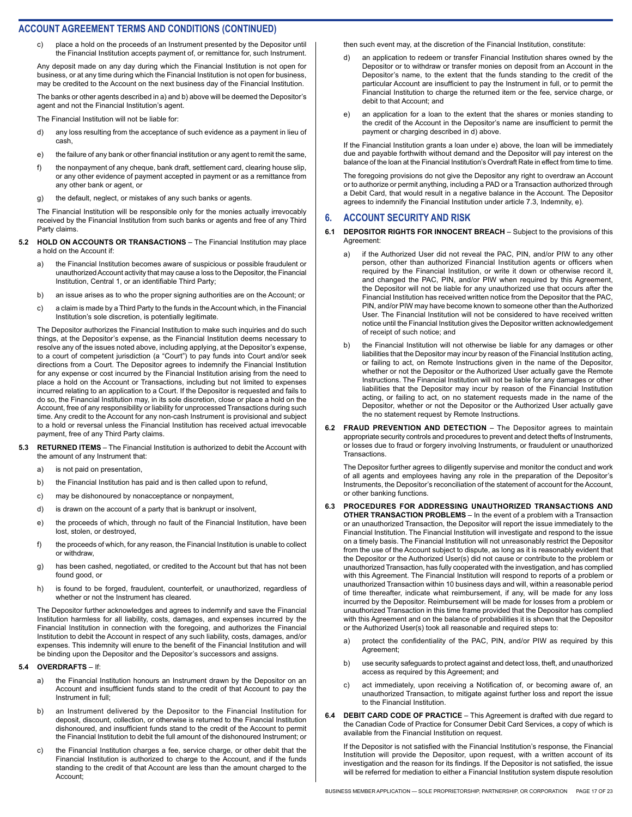c) place a hold on the proceeds of an Instrument presented by the Depositor until the Financial Institution accepts payment of, or remittance for, such Instrument.

Any deposit made on any day during which the Financial Institution is not open for business, or at any time during which the Financial Institution is not open for business, may be credited to the Account on the next business day of the Financial Institution.

The banks or other agents described in a) and b) above will be deemed the Depositor's agent and not the Financial Institution's agent.

The Financial Institution will not be liable for:

- d) any loss resulting from the acceptance of such evidence as a payment in lieu of cash,
- e) the failure of any bank or other financial institution or any agent to remit the same,
- f) the nonpayment of any cheque, bank draft, settlement card, clearing house slip, or any other evidence of payment accepted in payment or as a remittance from any other bank or agent, or
- g) the default, neglect, or mistakes of any such banks or agents.

The Financial Institution will be responsible only for the monies actually irrevocably received by the Financial Institution from such banks or agents and free of any Third Party claims.

- **5.2 HOLD ON ACCOUNTS OR TRANSACTIONS** The Financial Institution may place a hold on the Account if:
	- a) the Financial Institution becomes aware of suspicious or possible fraudulent or unauthorized Account activity that may cause a loss to the Depositor, the Financial Institution, Central 1, or an identifiable Third Party;
	- b) an issue arises as to who the proper signing authorities are on the Account; or
	- c) a claim is made by a Third Party to the funds in the Account which, in the Financial Institution's sole discretion, is potentially legitimate.

The Depositor authorizes the Financial Institution to make such inquiries and do such things, at the Depositor's expense, as the Financial Institution deems necessary to resolve any of the issues noted above, including applying, at the Depositor's expense, to a court of competent jurisdiction (a "Court") to pay funds into Court and/or seek directions from a Court. The Depositor agrees to indemnify the Financial Institution for any expense or cost incurred by the Financial Institution arising from the need to place a hold on the Account or Transactions, including but not limited to expenses incurred relating to an application to a Court. If the Depositor is requested and fails to do so, the Financial Institution may, in its sole discretion, close or place a hold on the Account, free of any responsibility or liability for unprocessed Transactions during such time. Any credit to the Account for any non-cash Instrument is provisional and subject to a hold or reversal unless the Financial Institution has received actual irrevocable payment, free of any Third Party claims.

- **5.3 RETURNED ITEMS** The Financial Institution is authorized to debit the Account with the amount of any Instrument that:
	- a) is not paid on presentation,
	- b) the Financial Institution has paid and is then called upon to refund,
	- c) may be dishonoured by nonacceptance or nonpayment,
	- d) is drawn on the account of a party that is bankrupt or insolvent,
	- e) the proceeds of which, through no fault of the Financial Institution, have been lost, stolen, or destroyed,
	- f) the proceeds of which, for any reason, the Financial Institution is unable to collect or withdraw,
	- g) has been cashed, negotiated, or credited to the Account but that has not been found good, or
	- h) is found to be forged, fraudulent, counterfeit, or unauthorized, regardless of whether or not the Instrument has cleared.

The Depositor further acknowledges and agrees to indemnify and save the Financial Institution harmless for all liability, costs, damages, and expenses incurred by the Financial Institution in connection with the foregoing, and authorizes the Financial Institution to debit the Account in respect of any such liability, costs, damages, and/or expenses. This indemnity will enure to the benefit of the Financial Institution and will be binding upon the Depositor and the Depositor's successors and assigns.

#### **5.4 OVERDRAFTS** – If:

- a) the Financial Institution honours an Instrument drawn by the Depositor on an Account and insufficient funds stand to the credit of that Account to pay the Instrument in full;
- b) an Instrument delivered by the Depositor to the Financial Institution for deposit, discount, collection, or otherwise is returned to the Financial Institution dishonoured, and insufficient funds stand to the credit of the Account to permit the Financial Institution to debit the full amount of the dishonoured Instrument; or
- c) the Financial Institution charges a fee, service charge, or other debit that the Financial Institution is authorized to charge to the Account, and if the funds standing to the credit of that Account are less than the amount charged to the Account;

then such event may, at the discretion of the Financial Institution, constitute:

- d) an application to redeem or transfer Financial Institution shares owned by the Depositor or to withdraw or transfer monies on deposit from an Account in the Depositor's name, to the extent that the funds standing to the credit of the particular Account are insufficient to pay the Instrument in full, or to permit the Financial Institution to charge the returned item or the fee, service charge, or debit to that Account; and
- e) an application for a loan to the extent that the shares or monies standing to the credit of the Account in the Depositor's name are insufficient to permit the payment or charging described in d) above.

If the Financial Institution grants a loan under e) above, the loan will be immediately due and payable forthwith without demand and the Depositor will pay interest on the balance of the loan at the Financial Institution's Overdraft Rate in effect from time to time.

The foregoing provisions do not give the Depositor any right to overdraw an Account or to authorize or permit anything, including a PAD or a Transaction authorized through a Debit Card, that would result in a negative balance in the Account. The Depositor agrees to indemnify the Financial Institution under article 7.3, Indemnity, e).

#### **6. ACCOUNT SECURITY AND RISK**

- **6.1 DEPOSITOR RIGHTS FOR INNOCENT BREACH** Subject to the provisions of this Agreement:
	- a) if the Authorized User did not reveal the PAC, PIN, and/or PIW to any other person, other than authorized Financial Institution agents or officers when required by the Financial Institution, or write it down or otherwise record it, and changed the PAC, PIN, and/or PIW when required by this Agreement, the Depositor will not be liable for any unauthorized use that occurs after the Financial Institution has received written notice from the Depositor that the PAC, PIN, and/or PIW may have become known to someone other than the Authorized User. The Financial Institution will not be considered to have received written notice until the Financial Institution gives the Depositor written acknowledgement of receipt of such notice; and
	- the Financial Institution will not otherwise be liable for any damages or other liabilities that the Depositor may incur by reason of the Financial Institution acting, or failing to act, on Remote Instructions given in the name of the Depositor, whether or not the Depositor or the Authorized User actually gave the Remote Instructions. The Financial Institution will not be liable for any damages or other liabilities that the Depositor may incur by reason of the Financial Institution acting, or failing to act, on no statement requests made in the name of the Depositor, whether or not the Depositor or the Authorized User actually gave the no statement request by Remote Instructions.
- **6.2 FRAUD PREVENTION AND DETECTION** The Depositor agrees to maintain appropriate security controls and procedures to prevent and detect thefts of Instruments, or losses due to fraud or forgery involving Instruments, or fraudulent or unauthorized Transactions.

The Depositor further agrees to diligently supervise and monitor the conduct and work of all agents and employees having any role in the preparation of the Depositor's Instruments, the Depositor's reconciliation of the statement of account for the Account, or other banking functions.

- **6.3 PROCEDURES FOR ADDRESSING UNAUTHORIZED TRANSACTIONS AND OTHER TRANSACTION PROBLEMS** – In the event of a problem with a Transaction or an unauthorized Transaction, the Depositor will report the issue immediately to the Financial Institution. The Financial Institution will investigate and respond to the issue on a timely basis. The Financial Institution will not unreasonably restrict the Depositor from the use of the Account subject to dispute, as long as it is reasonably evident that the Depositor or the Authorized User(s) did not cause or contribute to the problem or unauthorized Transaction, has fully cooperated with the investigation, and has complied with this Agreement. The Financial Institution will respond to reports of a problem or unauthorized Transaction within 10 business days and will, within a reasonable period of time thereafter, indicate what reimbursement, if any, will be made for any loss incurred by the Depositor. Reimbursement will be made for losses from a problem or unauthorized Transaction in this time frame provided that the Depositor has complied with this Agreement and on the balance of probabilities it is shown that the Depositor or the Authorized User(s) took all reasonable and required steps to:
	- a) protect the confidentiality of the PAC, PIN, and/or PIW as required by this Agreement;
	- b) use security safeguards to protect against and detect loss, theft, and unauthorized access as required by this Agreement; and
	- c) act immediately, upon receiving a Notification of, or becoming aware of, an unauthorized Transaction, to mitigate against further loss and report the issue to the Financial Institution.
- **6.4 DEBIT CARD CODE OF PRACTICE** This Agreement is drafted with due regard to the Canadian Code of Practice for Consumer Debit Card Services, a copy of which is available from the Financial Institution on request.

If the Depositor is not satisfied with the Financial Institution's response, the Financial Institution will provide the Depositor, upon request, with a written account of its investigation and the reason for its findings. If the Depositor is not satisfied, the issue will be referred for mediation to either a Financial Institution system dispute resolution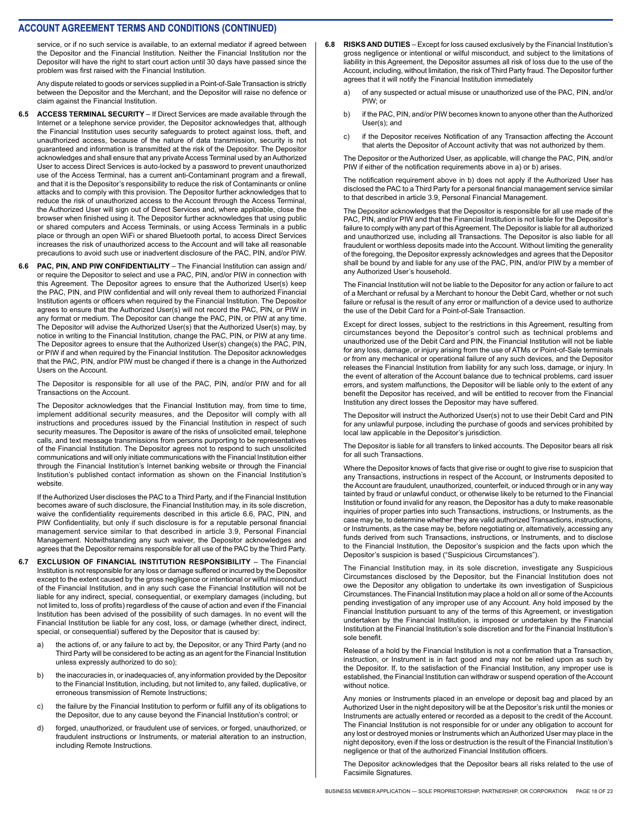service, or if no such service is available, to an external mediator if agreed between the Depositor and the Financial Institution. Neither the Financial Institution nor the Depositor will have the right to start court action until 30 days have passed since the problem was first raised with the Financial Institution.

Any dispute related to goods or services supplied in a Point-of-Sale Transaction is strictly between the Depositor and the Merchant, and the Depositor will raise no defence or claim against the Financial Institution.

- **6.5 ACCESS TERMINAL SECURITY** If Direct Services are made available through the Internet or a telephone service provider, the Depositor acknowledges that, although the Financial Institution uses security safeguards to protect against loss, theft, and unauthorized access, because of the nature of data transmission, security is not guaranteed and information is transmitted at the risk of the Depositor. The Depositor acknowledges and shall ensure that any private Access Terminal used by an Authorized User to access Direct Services is auto-locked by a password to prevent unauthorized use of the Access Terminal, has a current anti-Contaminant program and a firewall, and that it is the Depositor's responsibility to reduce the risk of Contaminants or online attacks and to comply with this provision. The Depositor further acknowledges that to reduce the risk of unauthorized access to the Account through the Access Terminal, the Authorized User will sign out of Direct Services and, where applicable, close the browser when finished using it. The Depositor further acknowledges that using public or shared computers and Access Terminals, or using Access Terminals in a public place or through an open WiFi or shared Bluetooth portal, to access Direct Services increases the risk of unauthorized access to the Account and will take all reasonable precautions to avoid such use or inadvertent disclosure of the PAC, PIN, and/or PIW.
- **6.6 PAC, PIN, AND PIW CONFIDENTIALITY** The Financial Institution can assign and/ or require the Depositor to select and use a PAC, PIN, and/or PIW in connection with this Agreement. The Depositor agrees to ensure that the Authorized User(s) keep the PAC, PIN, and PIW confidential and will only reveal them to authorized Financial Institution agents or officers when required by the Financial Institution. The Depositor agrees to ensure that the Authorized User(s) will not record the PAC, PIN, or PIW in any format or medium. The Depositor can change the PAC, PIN, or PIW at any time. The Depositor will advise the Authorized User(s) that the Authorized User(s) may, by notice in writing to the Financial Institution, change the PAC, PIN, or PIW at any time. The Depositor agrees to ensure that the Authorized User(s) change(s) the PAC, PIN, or PIW if and when required by the Financial Institution. The Depositor acknowledges that the PAC, PIN, and/or PIW must be changed if there is a change in the Authorized Users on the Account.

The Depositor is responsible for all use of the PAC, PIN, and/or PIW and for all Transactions on the Account.

The Depositor acknowledges that the Financial Institution may, from time to time, implement additional security measures, and the Depositor will comply with all instructions and procedures issued by the Financial Institution in respect of such security measures. The Depositor is aware of the risks of unsolicited email, telephone calls, and text message transmissions from persons purporting to be representatives of the Financial Institution. The Depositor agrees not to respond to such unsolicited communications and will only initiate communications with the Financial Institution either through the Financial Institution's Internet banking website or through the Financial Institution's published contact information as shown on the Financial Institution's website.

If the Authorized User discloses the PAC to a Third Party, and if the Financial Institution becomes aware of such disclosure, the Financial Institution may, in its sole discretion, waive the confidentiality requirements described in this article 6.6, PAC, PIN, and PIW Confidentiality, but only if such disclosure is for a reputable personal financial management service similar to that described in article 3.9, Personal Financial Management. Notwithstanding any such waiver, the Depositor acknowledges and agrees that the Depositor remains responsible for all use of the PAC by the Third Party.

- **6.7 EXCLUSION OF FINANCIAL INSTITUTION RESPONSIBILITY** The Financial Institution is not responsible for any loss or damage suffered or incurred by the Depositor except to the extent caused by the gross negligence or intentional or wilful misconduct of the Financial Institution, and in any such case the Financial Institution will not be liable for any indirect, special, consequential, or exemplary damages (including, but not limited to, loss of profits) regardless of the cause of action and even if the Financial Institution has been advised of the possibility of such damages. In no event will the Financial Institution be liable for any cost, loss, or damage (whether direct, indirect, special, or consequential) suffered by the Depositor that is caused by:
	- a) the actions of, or any failure to act by, the Depositor, or any Third Party (and no Third Party will be considered to be acting as an agent for the Financial Institution unless expressly authorized to do so);
	- b) the inaccuracies in, or inadequacies of, any information provided by the Depositor to the Financial Institution, including, but not limited to, any failed, duplicative, or erroneous transmission of Remote Instructions;
	- c) the failure by the Financial Institution to perform or fulfill any of its obligations to the Depositor, due to any cause beyond the Financial Institution's control; or
	- d) forged, unauthorized, or fraudulent use of services, or forged, unauthorized, or fraudulent instructions or Instruments, or material alteration to an instruction, including Remote Instructions.
- **6.8 RISKS AND DUTIES** Except for loss caused exclusively by the Financial Institution's gross negligence or intentional or wilful misconduct, and subject to the limitations of liability in this Agreement, the Depositor assumes all risk of loss due to the use of the Account, including, without limitation, the risk of Third Party fraud. The Depositor further agrees that it will notify the Financial Institution immediately
	- a) of any suspected or actual misuse or unauthorized use of the PAC, PIN, and/or PIW; or
	- b) if the PAC, PIN, and/or PIW becomes known to anyone other than the Authorized User(s); and
	- c) if the Depositor receives Notification of any Transaction affecting the Account that alerts the Depositor of Account activity that was not authorized by them.

The Depositor or the Authorized User, as applicable, will change the PAC, PIN, and/or PIW if either of the notification requirements above in a) or b) arises.

The notification requirement above in b) does not apply if the Authorized User has disclosed the PAC to a Third Party for a personal financial management service similar to that described in article 3.9, Personal Financial Management.

The Depositor acknowledges that the Depositor is responsible for all use made of the PAC, PIN, and/or PIW and that the Financial Institution is not liable for the Depositor's failure to comply with any part of this Agreement. The Depositor is liable for all authorized and unauthorized use, including all Transactions. The Depositor is also liable for all fraudulent or worthless deposits made into the Account. Without limiting the generality of the foregoing, the Depositor expressly acknowledges and agrees that the Depositor shall be bound by and liable for any use of the PAC, PIN, and/or PIW by a member of any Authorized User's household.

The Financial Institution will not be liable to the Depositor for any action or failure to act of a Merchant or refusal by a Merchant to honour the Debit Card, whether or not such failure or refusal is the result of any error or malfunction of a device used to authorize the use of the Debit Card for a Point-of-Sale Transaction.

Except for direct losses, subject to the restrictions in this Agreement, resulting from circumstances beyond the Depositor's control such as technical problems and unauthorized use of the Debit Card and PIN, the Financial Institution will not be liable for any loss, damage, or injury arising from the use of ATMs or Point-of-Sale terminals or from any mechanical or operational failure of any such devices, and the Depositor releases the Financial Institution from liability for any such loss, damage, or injury. In the event of alteration of the Account balance due to technical problems, card issuer errors, and system malfunctions, the Depositor will be liable only to the extent of any benefit the Depositor has received, and will be entitled to recover from the Financial Institution any direct losses the Depositor may have suffered.

The Depositor will instruct the Authorized User(s) not to use their Debit Card and PIN for any unlawful purpose, including the purchase of goods and services prohibited by local law applicable in the Depositor's jurisdiction.

The Depositor is liable for all transfers to linked accounts. The Depositor bears all risk for all such Transactions.

Where the Depositor knows of facts that give rise or ought to give rise to suspicion that any Transactions, instructions in respect of the Account, or Instruments deposited to the Account are fraudulent, unauthorized, counterfeit, or induced through or in any way tainted by fraud or unlawful conduct, or otherwise likely to be returned to the Financial Institution or found invalid for any reason, the Depositor has a duty to make reasonable inquiries of proper parties into such Transactions, instructions, or Instruments, as the case may be, to determine whether they are valid authorized Transactions, instructions, or Instruments, as the case may be, before negotiating or, alternatively, accessing any funds derived from such Transactions, instructions, or Instruments, and to disclose to the Financial Institution, the Depositor's suspicion and the facts upon which the Depositor's suspicion is based ("Suspicious Circumstances").

The Financial Institution may, in its sole discretion, investigate any Suspicious Circumstances disclosed by the Depositor, but the Financial Institution does not owe the Depositor any obligation to undertake its own investigation of Suspicious Circumstances. The Financial Institution may place a hold on all or some of the Accounts pending investigation of any improper use of any Account. Any hold imposed by the Financial Institution pursuant to any of the terms of this Agreement, or investigation undertaken by the Financial Institution, is imposed or undertaken by the Financial Institution at the Financial Institution's sole discretion and for the Financial Institution's sole benefit.

Release of a hold by the Financial Institution is not a confirmation that a Transaction, instruction, or Instrument is in fact good and may not be relied upon as such by the Depositor. If, to the satisfaction of the Financial Institution, any improper use is established, the Financial Institution can withdraw or suspend operation of the Account without notice.

Any monies or Instruments placed in an envelope or deposit bag and placed by an Authorized User in the night depository will be at the Depositor's risk until the monies or Instruments are actually entered or recorded as a deposit to the credit of the Account. The Financial Institution is not responsible for or under any obligation to account for any lost or destroyed monies or Instruments which an Authorized User may place in the night depository, even if the loss or destruction is the result of the Financial Institution's negligence or that of the authorized Financial Institution officers.

The Depositor acknowledges that the Depositor bears all risks related to the use of Facsimile Signatures.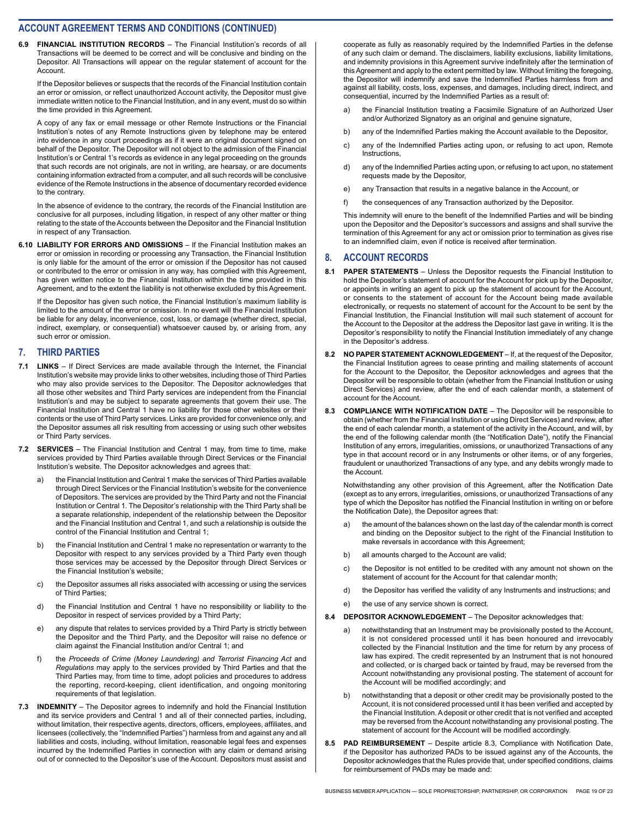**6.9 FINANCIAL INSTITUTION RECORDS** – The Financial Institution's records of all Transactions will be deemed to be correct and will be conclusive and binding on the Depositor. All Transactions will appear on the regular statement of account for the Account.

If the Depositor believes or suspects that the records of the Financial Institution contain an error or omission, or reflect unauthorized Account activity, the Depositor must give immediate written notice to the Financial Institution, and in any event, must do so within the time provided in this Agreement.

A copy of any fax or email message or other Remote Instructions or the Financial Institution's notes of any Remote Instructions given by telephone may be entered into evidence in any court proceedings as if it were an original document signed on behalf of the Depositor. The Depositor will not object to the admission of the Financial Institution's or Central 1's records as evidence in any legal proceeding on the grounds that such records are not originals, are not in writing, are hearsay, or are documents containing information extracted from a computer, and all such records will be conclusive evidence of the Remote Instructions in the absence of documentary recorded evidence to the contrary.

In the absence of evidence to the contrary, the records of the Financial Institution are conclusive for all purposes, including litigation, in respect of any other matter or thing relating to the state of the Accounts between the Depositor and the Financial Institution in respect of any Transaction.

**6.10 LIABILITY FOR ERRORS AND OMISSIONS** – If the Financial Institution makes an error or omission in recording or processing any Transaction, the Financial Institution is only liable for the amount of the error or omission if the Depositor has not caused or contributed to the error or omission in any way, has complied with this Agreement, has given written notice to the Financial Institution within the time provided in this Agreement, and to the extent the liability is not otherwise excluded by this Agreement.

If the Depositor has given such notice, the Financial Institution's maximum liability is limited to the amount of the error or omission. In no event will the Financial Institution be liable for any delay, inconvenience, cost, loss, or damage (whether direct, special, indirect, exemplary, or consequential) whatsoever caused by, or arising from, any such error or omission.

#### **7. THIRD PARTIES**

- **7.1 LINKS** If Direct Services are made available through the Internet, the Financial Institution's website may provide links to other websites, including those of Third Parties who may also provide services to the Depositor. The Depositor acknowledges that all those other websites and Third Party services are independent from the Financial Institution's and may be subject to separate agreements that govern their use. The Financial Institution and Central 1 have no liability for those other websites or their contents or the use of Third Party services. Links are provided for convenience only, and the Depositor assumes all risk resulting from accessing or using such other websites or Third Party services.
- **7.2 SERVICES** The Financial Institution and Central 1 may, from time to time, make services provided by Third Parties available through Direct Services or the Financial Institution's website. The Depositor acknowledges and agrees that:
	- a) the Financial Institution and Central 1 make the services of Third Parties available through Direct Services or the Financial Institution's website for the convenience of Depositors. The services are provided by the Third Party and not the Financial Institution or Central 1. The Depositor's relationship with the Third Party shall be a separate relationship, independent of the relationship between the Depositor and the Financial Institution and Central 1, and such a relationship is outside the control of the Financial Institution and Central 1;
	- b) the Financial Institution and Central 1 make no representation or warranty to the Depositor with respect to any services provided by a Third Party even though those services may be accessed by the Depositor through Direct Services or the Financial Institution's website;
	- c) the Depositor assumes all risks associated with accessing or using the services of Third Parties;
	- d) the Financial Institution and Central 1 have no responsibility or liability to the Depositor in respect of services provided by a Third Party;
	- e) any dispute that relates to services provided by a Third Party is strictly between the Depositor and the Third Party, and the Depositor will raise no defence or claim against the Financial Institution and/or Central 1; and
	- f) the *Proceeds of Crime (Money Laundering) and Terrorist Financing Act* and *Regulations* may apply to the services provided by Third Parties and that the Third Parties may, from time to time, adopt policies and procedures to address the reporting, record-keeping, client identification, and ongoing monitoring requirements of that legislation.
- **7.3 INDEMNITY** The Depositor agrees to indemnify and hold the Financial Institution and its service providers and Central 1 and all of their connected parties, including, without limitation, their respective agents, directors, officers, employees, affiliates, and licensees (collectively, the "Indemnified Parties") harmless from and against any and all liabilities and costs, including, without limitation, reasonable legal fees and expenses incurred by the Indemnified Parties in connection with any claim or demand arising out of or connected to the Depositor's use of the Account. Depositors must assist and

cooperate as fully as reasonably required by the Indemnified Parties in the defense of any such claim or demand. The disclaimers, liability exclusions, liability limitations, and indemnity provisions in this Agreement survive indefinitely after the termination of this Agreement and apply to the extent permitted by law. Without limiting the foregoing, the Depositor will indemnify and save the Indemnified Parties harmless from and against all liability, costs, loss, expenses, and damages, including direct, indirect, and consequential, incurred by the Indemnified Parties as a result of:

- a) the Financial Institution treating a Facsimile Signature of an Authorized User and/or Authorized Signatory as an original and genuine signature,
- b) any of the Indemnified Parties making the Account available to the Depositor,
- c) any of the Indemnified Parties acting upon, or refusing to act upon, Remote **Instructions**
- d) any of the Indemnified Parties acting upon, or refusing to act upon, no statement requests made by the Depositor,
- e) any Transaction that results in a negative balance in the Account, or
- f) the consequences of any Transaction authorized by the Depositor.

This indemnity will enure to the benefit of the Indemnified Parties and will be binding upon the Depositor and the Depositor's successors and assigns and shall survive the termination of this Agreement for any act or omission prior to termination as gives rise to an indemnified claim, even if notice is received after termination.

#### **8. ACCOUNT RECORDS**

- **8.1 PAPER STATEMENTS** Unless the Depositor requests the Financial Institution to hold the Depositor's statement of account for the Account for pick up by the Depositor, or appoints in writing an agent to pick up the statement of account for the Account, or consents to the statement of account for the Account being made available electronically, or requests no statement of account for the Account to be sent by the Financial Institution, the Financial Institution will mail such statement of account for the Account to the Depositor at the address the Depositor last gave in writing. It is the Depositor's responsibility to notify the Financial Institution immediately of any change in the Depositor's address.
- **8.2 NO PAPER STATEMENT ACKNOWLEDGEMENT** If, at the request of the Depositor, the Financial Institution agrees to cease printing and mailing statements of account for the Account to the Depositor, the Depositor acknowledges and agrees that the Depositor will be responsible to obtain (whether from the Financial Institution or using Direct Services) and review, after the end of each calendar month, a statement of account for the Account.
- **8.3 COMPLIANCE WITH NOTIFICATION DATE** The Depositor will be responsible to obtain (whether from the Financial Institution or using Direct Services) and review, after the end of each calendar month, a statement of the activity in the Account, and will, by the end of the following calendar month (the "Notification Date"), notify the Financial Institution of any errors, irregularities, omissions, or unauthorized Transactions of any type in that account record or in any Instruments or other items, or of any forgeries, fraudulent or unauthorized Transactions of any type, and any debits wrongly made to the Account.

Notwithstanding any other provision of this Agreement, after the Notification Date (except as to any errors, irregularities, omissions, or unauthorized Transactions of any type of which the Depositor has notified the Financial Institution in writing on or before the Notification Date), the Depositor agrees that:

- a) the amount of the balances shown on the last day of the calendar month is correct and binding on the Depositor subject to the right of the Financial Institution to make reversals in accordance with this Agreement;
- b) all amounts charged to the Account are valid:
- c) the Depositor is not entitled to be credited with any amount not shown on the statement of account for the Account for that calendar month;
- d) the Depositor has verified the validity of any Instruments and instructions; and
- e) the use of any service shown is correct.
- **8.4 DEPOSITOR ACKNOWLEDGEMENT** The Depositor acknowledges that:
	- a) notwithstanding that an Instrument may be provisionally posted to the Account, it is not considered processed until it has been honoured and irrevocably collected by the Financial Institution and the time for return by any process of law has expired. The credit represented by an Instrument that is not honoured and collected, or is charged back or tainted by fraud, may be reversed from the Account notwithstanding any provisional posting. The statement of account for the Account will be modified accordingly; and
	- b) notwithstanding that a deposit or other credit may be provisionally posted to the Account, it is not considered processed until it has been verified and accepted by the Financial Institution. A deposit or other credit that is not verified and accepted may be reversed from the Account notwithstanding any provisional posting. The statement of account for the Account will be modified accordingly.
- **8.5 PAD REIMBURSEMENT** Despite article 8.3, Compliance with Notification Date, if the Depositor has authorized PADs to be issued against any of the Accounts, the Depositor acknowledges that the Rules provide that, under specified conditions, claims for reimbursement of PADs may be made and: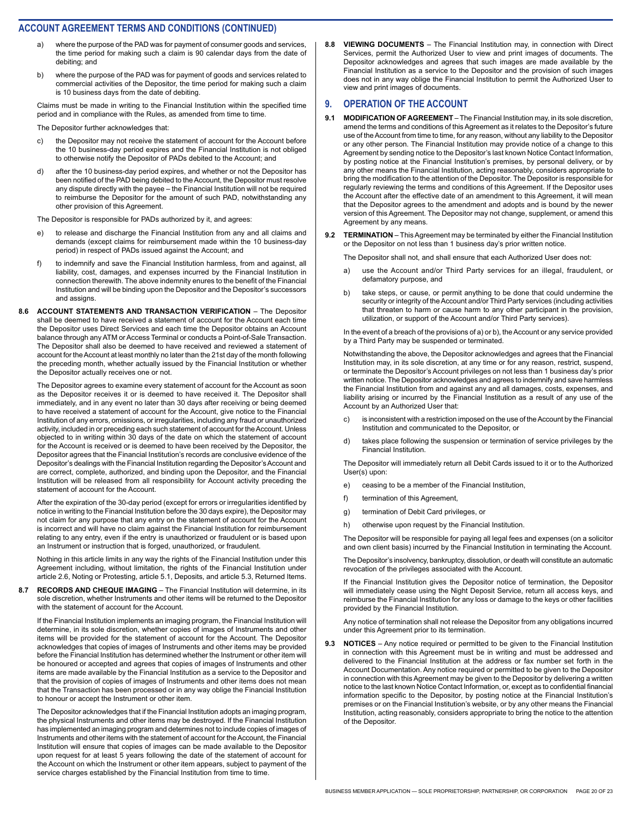- where the purpose of the PAD was for payment of consumer goods and services, the time period for making such a claim is 90 calendar days from the date of debiting; and
- b) where the purpose of the PAD was for payment of goods and services related to commercial activities of the Depositor, the time period for making such a claim is 10 business days from the date of debiting.

Claims must be made in writing to the Financial Institution within the specified time period and in compliance with the Rules, as amended from time to time.

The Depositor further acknowledges that:

- c) the Depositor may not receive the statement of account for the Account before the 10 business-day period expires and the Financial Institution is not obliged to otherwise notify the Depositor of PADs debited to the Account; and
- d) after the 10 business-day period expires, and whether or not the Depositor has been notified of the PAD being debited to the Account, the Depositor must resolve any dispute directly with the payee – the Financial Institution will not be required to reimburse the Depositor for the amount of such PAD, notwithstanding any other provision of this Agreement.

The Depositor is responsible for PADs authorized by it, and agrees:

- to release and discharge the Financial Institution from any and all claims and demands (except claims for reimbursement made within the 10 business-day period) in respect of PADs issued against the Account; and
- f) to indemnify and save the Financial Institution harmless, from and against, all liability, cost, damages, and expenses incurred by the Financial Institution in connection therewith. The above indemnity enures to the benefit of the Financial Institution and will be binding upon the Depositor and the Depositor's successors and assigns.
- **8.6 ACCOUNT STATEMENTS AND TRANSACTION VERIFICATION** The Depositor shall be deemed to have received a statement of account for the Account each time the Depositor uses Direct Services and each time the Depositor obtains an Account balance through any ATM or Access Terminal or conducts a Point-of-Sale Transaction. The Depositor shall also be deemed to have received and reviewed a statement of account for the Account at least monthly no later than the 21st day of the month following the preceding month, whether actually issued by the Financial Institution or whether the Depositor actually receives one or not.

The Depositor agrees to examine every statement of account for the Account as soon as the Depositor receives it or is deemed to have received it. The Depositor shall immediately, and in any event no later than 30 days after receiving or being deemed to have received a statement of account for the Account, give notice to the Financial Institution of any errors, omissions, or irregularities, including any fraud or unauthorized activity, included in or preceding each such statement of account for the Account. Unless objected to in writing within 30 days of the date on which the statement of account for the Account is received or is deemed to have been received by the Depositor, the Depositor agrees that the Financial Institution's records are conclusive evidence of the Depositor's dealings with the Financial Institution regarding the Depositor's Account and are correct, complete, authorized, and binding upon the Depositor, and the Financial Institution will be released from all responsibility for Account activity preceding the statement of account for the Account.

After the expiration of the 30-day period (except for errors or irregularities identified by notice in writing to the Financial Institution before the 30 days expire), the Depositor may not claim for any purpose that any entry on the statement of account for the Account is incorrect and will have no claim against the Financial Institution for reimbursement relating to any entry, even if the entry is unauthorized or fraudulent or is based upon an Instrument or instruction that is forged, unauthorized, or fraudulent.

Nothing in this article limits in any way the rights of the Financial Institution under this Agreement including, without limitation, the rights of the Financial Institution under article 2.6, Noting or Protesting, article 5.1, Deposits, and article 5.3, Returned Items.

**8.7 RECORDS AND CHEQUE IMAGING** – The Financial Institution will determine, in its sole discretion, whether Instruments and other items will be returned to the Depositor with the statement of account for the Account.

If the Financial Institution implements an imaging program, the Financial Institution will determine, in its sole discretion, whether copies of images of Instruments and other items will be provided for the statement of account for the Account. The Depositor acknowledges that copies of images of Instruments and other items may be provided before the Financial Institution has determined whether the Instrument or other item will be honoured or accepted and agrees that copies of images of Instruments and other items are made available by the Financial Institution as a service to the Depositor and that the provision of copies of images of Instruments and other items does not mean that the Transaction has been processed or in any way oblige the Financial Institution to honour or accept the Instrument or other item.

The Depositor acknowledges that if the Financial Institution adopts an imaging program, the physical Instruments and other items may be destroyed. If the Financial Institution has implemented an imaging program and determines not to include copies of images of Instruments and other items with the statement of account for the Account, the Financial Institution will ensure that copies of images can be made available to the Depositor upon request for at least 5 years following the date of the statement of account for the Account on which the Instrument or other item appears, subject to payment of the service charges established by the Financial Institution from time to time.

**8.8 VIEWING DOCUMENTS** – The Financial Institution may, in connection with Direct Services, permit the Authorized User to view and print images of documents. The Depositor acknowledges and agrees that such images are made available by the Financial Institution as a service to the Depositor and the provision of such images does not in any way oblige the Financial Institution to permit the Authorized User to view and print images of documents.

#### **9. OPERATION OF THE ACCOUNT**

- **9.1 MODIFICATION OF AGREEMENT** The Financial Institution may, in its sole discretion, amend the terms and conditions of this Agreement as it relates to the Depositor's future use of the Account from time to time, for any reason, without any liability to the Depositor or any other person. The Financial Institution may provide notice of a change to this Agreement by sending notice to the Depositor's last known Notice Contact Information, by posting notice at the Financial Institution's premises, by personal delivery, or by any other means the Financial Institution, acting reasonably, considers appropriate to bring the modification to the attention of the Depositor. The Depositor is responsible for regularly reviewing the terms and conditions of this Agreement. If the Depositor uses the Account after the effective date of an amendment to this Agreement, it will mean that the Depositor agrees to the amendment and adopts and is bound by the newer version of this Agreement. The Depositor may not change, supplement, or amend this Agreement by any means.
- **9.2 TERMINATION** This Agreement may be terminated by either the Financial Institution or the Depositor on not less than 1 business day's prior written notice.

The Depositor shall not, and shall ensure that each Authorized User does not:

- a) use the Account and/or Third Party services for an illegal, fraudulent, or defamatory purpose, and
- b) take steps, or cause, or permit anything to be done that could undermine the security or integrity of the Account and/or Third Party services (including activities that threaten to harm or cause harm to any other participant in the provision, utilization, or support of the Account and/or Third Party services).

In the event of a breach of the provisions of a) or b), the Account or any service provided by a Third Party may be suspended or terminated.

Notwithstanding the above, the Depositor acknowledges and agrees that the Financial Institution may, in its sole discretion, at any time or for any reason, restrict, suspend, or terminate the Depositor's Account privileges on not less than 1 business day's prior written notice. The Depositor acknowledges and agrees to indemnify and save harmless the Financial Institution from and against any and all damages, costs, expenses, and liability arising or incurred by the Financial Institution as a result of any use of the Account by an Authorized User that:

- c) is inconsistent with a restriction imposed on the use of the Account by the Financial Institution and communicated to the Depositor, or
- d) takes place following the suspension or termination of service privileges by the Financial Institution.

The Depositor will immediately return all Debit Cards issued to it or to the Authorized User(s) upon:

- e) ceasing to be a member of the Financial Institution,
- f) termination of this Agreement,
- g) termination of Debit Card privileges, or
- h) otherwise upon request by the Financial Institution.

The Depositor will be responsible for paying all legal fees and expenses (on a solicitor and own client basis) incurred by the Financial Institution in terminating the Account.

The Depositor's insolvency, bankruptcy, dissolution, or death will constitute an automatic revocation of the privileges associated with the Account.

If the Financial Institution gives the Depositor notice of termination, the Depositor will immediately cease using the Night Deposit Service, return all access keys, and reimburse the Financial Institution for any loss or damage to the keys or other facilities provided by the Financial Institution.

Any notice of termination shall not release the Depositor from any obligations incurred under this Agreement prior to its termination.

**9.3 NOTICES** – Any notice required or permitted to be given to the Financial Institution in connection with this Agreement must be in writing and must be addressed and delivered to the Financial Institution at the address or fax number set forth in the Account Documentation. Any notice required or permitted to be given to the Depositor in connection with this Agreement may be given to the Depositor by delivering a written notice to the last known Notice Contact Information, or, except as to confidential financial information specific to the Depositor, by posting notice at the Financial Institution's premises or on the Financial Institution's website, or by any other means the Financial Institution, acting reasonably, considers appropriate to bring the notice to the attention of the Depositor.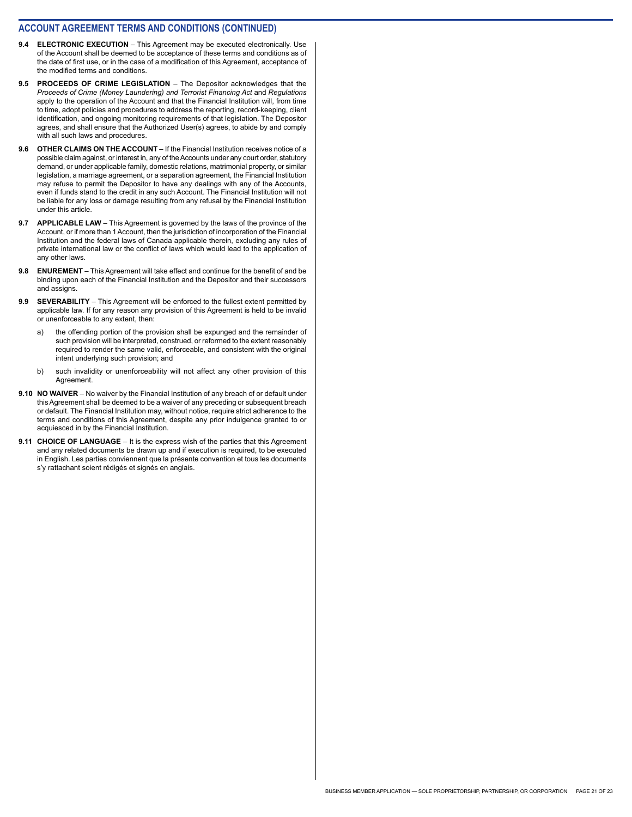- **9.4 ELECTRONIC EXECUTION** This Agreement may be executed electronically. Use of the Account shall be deemed to be acceptance of these terms and conditions as of the date of first use, or in the case of a modification of this Agreement, acceptance of the modified terms and conditions.
- **9.5 PROCEEDS OF CRIME LEGISLATION** The Depositor acknowledges that the *Proceeds of Crime (Money Laundering) and Terrorist Financing Act* and *Regulations*  apply to the operation of the Account and that the Financial Institution will, from time to time, adopt policies and procedures to address the reporting, record-keeping, client identification, and ongoing monitoring requirements of that legislation. The Depositor agrees, and shall ensure that the Authorized User(s) agrees, to abide by and comply with all such laws and procedures.
- **9.6 OTHER CLAIMS ON THE ACCOUNT** If the Financial Institution receives notice of a possible claim against, or interest in, any of the Accounts under any court order, statutory demand, or under applicable family, domestic relations, matrimonial property, or similar legislation, a marriage agreement, or a separation agreement, the Financial Institution may refuse to permit the Depositor to have any dealings with any of the Accounts, even if funds stand to the credit in any such Account. The Financial Institution will not be liable for any loss or damage resulting from any refusal by the Financial Institution under this article.
- **9.7 APPLICABLE LAW** This Agreement is governed by the laws of the province of the Account, or if more than 1 Account, then the jurisdiction of incorporation of the Financial Institution and the federal laws of Canada applicable therein, excluding any rules of private international law or the conflict of laws which would lead to the application of any other laws.
- **9.8 ENUREMENT** This Agreement will take effect and continue for the benefit of and be binding upon each of the Financial Institution and the Depositor and their successors and assigns.
- **9.9 SEVERABILITY** This Agreement will be enforced to the fullest extent permitted by applicable law. If for any reason any provision of this Agreement is held to be invalid or unenforceable to any extent, then:
	- a) the offending portion of the provision shall be expunged and the remainder of such provision will be interpreted, construed, or reformed to the extent reasonably required to render the same valid, enforceable, and consistent with the original intent underlying such provision; and
	- b) such invalidity or unenforceability will not affect any other provision of this Agreement.
- **9.10 NO WAIVER** No waiver by the Financial Institution of any breach of or default under this Agreement shall be deemed to be a waiver of any preceding or subsequent breach or default. The Financial Institution may, without notice, require strict adherence to the terms and conditions of this Agreement, despite any prior indulgence granted to or acquiesced in by the Financial Institution.
- **9.11 CHOICE OF LANGUAGE** It is the express wish of the parties that this Agreement and any related documents be drawn up and if execution is required, to be executed in English. Les parties conviennent que la présente convention et tous les documents s'y rattachant soient rédigés et signés en anglais.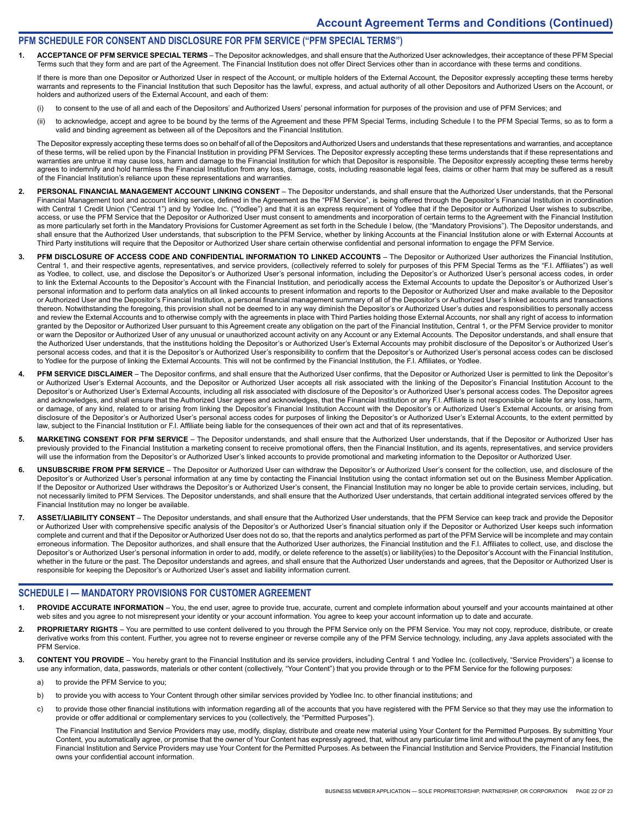#### **PFM SCHEDULE FOR CONSENT AND DISCLOSURE FOR PFM SERVICE ("PFM SPECIAL TERMS")**

**1. ACCEPTANCE OF PFM SERVICE SPECIAL TERMS** – The Depositor acknowledges, and shall ensure that the Authorized User acknowledges, their acceptance of these PFM Special Terms such that they form and are part of the Agreement. The Financial Institution does not offer Direct Services other than in accordance with these terms and conditions.

If there is more than one Depositor or Authorized User in respect of the Account, or multiple holders of the External Account, the Depositor expressly accepting these terms hereby warrants and represents to the Financial Institution that such Depositor has the lawful, express, and actual authority of all other Depositors and Authorized Users on the Account, or holders and authorized users of the External Account, and each of them:

- (i) to consent to the use of all and each of the Depositors' and Authorized Users' personal information for purposes of the provision and use of PFM Services; and
- (ii) to acknowledge, accept and agree to be bound by the terms of the Agreement and these PFM Special Terms, including Schedule I to the PFM Special Terms, so as to form a valid and binding agreement as between all of the Depositors and the Financial Institution.

The Depositor expressly accepting these terms does so on behalf of all of the Depositors and Authorized Users and understands that these representations and warranties, and acceptance of these terms, will be relied upon by the Financial Institution in providing PFM Services. The Depositor expressly accepting these terms understands that if these representations and warranties are untrue it may cause loss, harm and damage to the Financial Institution for which that Depositor is responsible. The Depositor expressly accepting these terms hereby agrees to indemnify and hold harmless the Financial Institution from any loss, damage, costs, including reasonable legal fees, claims or other harm that may be suffered as a result of the Financial Institution's reliance upon these representations and warranties.

- 2. PERSONAL FINANCIAL MANAGEMENT ACCOUNT LINKING CONSENT The Depositor understands, and shall ensure that the Authorized User understands, that the Personal Financial Management tool and account linking service, defined in the Agreement as the "PFM Service", is being offered through the Depositor's Financial Institution in coordination with Central 1 Credit Union ("Central 1") and by Yodlee Inc. ("Yodlee") and that it is an express requirement of Yodlee that if the Depositor or Authorized User wishes to subscribe, access, or use the PFM Service that the Depositor or Authorized User must consent to amendments and incorporation of certain terms to the Agreement with the Financial Institution as more particularly set forth in the Mandatory Provisions for Customer Agreement as set forth in the Schedule I below, (the "Mandatory Provisions"). The Depositor understands, and shall ensure that the Authorized User understands, that subscription to the PFM Service, whether by linking Accounts at the Financial Institution alone or with External Accounts at Third Party institutions will require that the Depositor or Authorized User share certain otherwise confidential and personal information to engage the PFM Service.
- **3. PFM DISCLOSURE OF ACCESS CODE AND CONFIDENTIAL INFORMATION TO LINKED ACCOUNTS**  The Depositor or Authorized User authorizes the Financial Institution, Central 1, and their respective agents, representatives, and service providers, (collectively referred to solely for purposes of this PFM Special Terms as the "F.I. Affiliates") as well as Yodlee, to collect, use, and disclose the Depositor's or Authorized User's personal information, including the Depositor's or Authorized User's personal access codes, in order to link the External Accounts to the Depositor's Account with the Financial Institution, and periodically access the External Accounts to update the Depositor's or Authorized User's personal information and to perform data analytics on all linked accounts to present information and reports to the Depositor or Authorized User and make available to the Depositor or Authorized User and the Depositor's Financial Institution, a personal financial management summary of all of the Depositor's or Authorized User's linked accounts and transactions thereon. Notwithstanding the foregoing, this provision shall not be deemed to in any way diminish the Depositor's or Authorized User's duties and responsibilities to personally access and review the External Accounts and to otherwise comply with the agreements in place with Third Parties holding those External Accounts, nor shall any right of access to information granted by the Depositor or Authorized User pursuant to this Agreement create any obligation on the part of the Financial Institution, Central 1, or the PFM Service provider to monitor or warn the Depositor or Authorized User of any unusual or unauthorized account activity on any Account or any External Accounts. The Depositor understands, and shall ensure that the Authorized User understands, that the institutions holding the Depositor's or Authorized User's External Accounts may prohibit disclosure of the Depositor's or Authorized User's personal access codes, and that it is the Depositor's or Authorized User's responsibility to confirm that the Depositor's or Authorized User's personal access codes can be disclosed to Yodlee for the purpose of linking the External Accounts. This will not be confirmed by the Financial Institution, the F.I. Affiliates, or Yodlee.
- **4. PFM SERVICE DISCLAIMER**  The Depositor confirms, and shall ensure that the Authorized User confirms, that the Depositor or Authorized User is permitted to link the Depositor's or Authorized User's External Accounts, and the Depositor or Authorized User accepts all risk associated with the linking of the Depositor's Financial Institution Account to the Depositor's or Authorized User's External Accounts, including all risk associated with disclosure of the Depositor's or Authorized User's personal access codes. The Depositor agrees and acknowledges, and shall ensure that the Authorized User agrees and acknowledges, that the Financial Institution or any F.I. Affiliate is not responsible or liable for any loss, harm, or damage, of any kind, related to or arising from linking the Depositor's Financial Institution Account with the Depositor's or Authorized User's External Accounts, or arising from disclosure of the Depositor's or Authorized User's personal access codes for purposes of linking the Depositor's or Authorized User's External Accounts, to the extent permitted by law, subject to the Financial Institution or F.I. Affiliate being liable for the consequences of their own act and that of its representatives.
- 5. MARKETING CONSENT FOR PFM SERVICE The Depositor understands, and shall ensure that the Authorized User understands, that if the Depositor or Authorized User has previously provided to the Financial Institution a marketing consent to receive promotional offers, then the Financial Institution, and its agents, representatives, and service providers will use the information from the Depositor's or Authorized User's linked accounts to provide promotional and marketing information to the Depositor or Authorized User.
- 6. UNSUBSCRIBE FROM PFM SERVICE The Depositor or Authorized User can withdraw the Depositor's or Authorized User's consent for the collection, use, and disclosure of the Depositor's or Authorized User's personal information at any time by contacting the Financial Institution using the contact information set out on the Business Member Application. If the Depositor or Authorized User withdraws the Depositor's or Authorized User's consent, the Financial Institution may no longer be able to provide certain services, including, but not necessarily limited to PFM Services. The Depositor understands, and shall ensure that the Authorized User understands, that certain additional integrated services offered by the Financial Institution may no longer be available.
- 7. ASSET/LIABILITY CONSENT The Depositor understands, and shall ensure that the Authorized User understands, that the PFM Service can keep track and provide the Depositor or Authorized User with comprehensive specific analysis of the Depositor's or Authorized User's financial situation only if the Depositor or Authorized User keeps such information complete and current and that if the Depositor or Authorized User does not do so, that the reports and analytics performed as part of the PFM Service will be incomplete and may contain erroneous information. The Depositor authorizes, and shall ensure that the Authorized User authorizes, the Financial Institution and the F.I. Affiliates to collect, use, and disclose the Depositor's or Authorized User's personal information in order to add, modify, or delete reference to the asset(s) or liability(ies) to the Depositor's Account with the Financial Institution, whether in the future or the past. The Depositor understands and agrees, and shall ensure that the Authorized User understands and agrees, that the Depositor or Authorized User is responsible for keeping the Depositor's or Authorized User's asset and liability information current.

#### **SCHEDULE I — MANDATORY PROVISIONS FOR CUSTOMER AGREEMENT**

- PROVIDE ACCURATE INFORMATION You, the end user, agree to provide true, accurate, current and complete information about yourself and your accounts maintained at other web sites and you agree to not misrepresent your identity or your account information. You agree to keep your account information up to date and accurate.
- PROPRIETARY RIGHTS You are permitted to use content delivered to you through the PFM Service only on the PFM Service. You may not copy, reproduce, distribute, or create derivative works from this content. Further, you agree not to reverse engineer or reverse compile any of the PFM Service technology, including, any Java applets associated with the PFM Service.
- **3. CONTENT YOU PROVIDE** You hereby grant to the Financial Institution and its service providers, including Central 1 and Yodlee Inc. (collectively, "Service Providers") a license to use any information, data, passwords, materials or other content (collectively, "Your Content") that you provide through or to the PFM Service for the following purposes:
	- a) to provide the PFM Service to you;
	- b) to provide you with access to Your Content through other similar services provided by Yodlee Inc. to other financial institutions; and
	- c) to provide those other financial institutions with information regarding all of the accounts that you have registered with the PFM Service so that they may use the information to provide or offer additional or complementary services to you (collectively, the "Permitted Purposes").

The Financial Institution and Service Providers may use, modify, display, distribute and create new material using Your Content for the Permitted Purposes. By submitting Your Content, you automatically agree, or promise that the owner of Your Content has expressly agreed, that, without any particular time limit and without the payment of any fees, the Financial Institution and Service Providers may use Your Content for the Permitted Purposes. As between the Financial Institution and Service Providers, the Financial Institution owns your confidential account information.